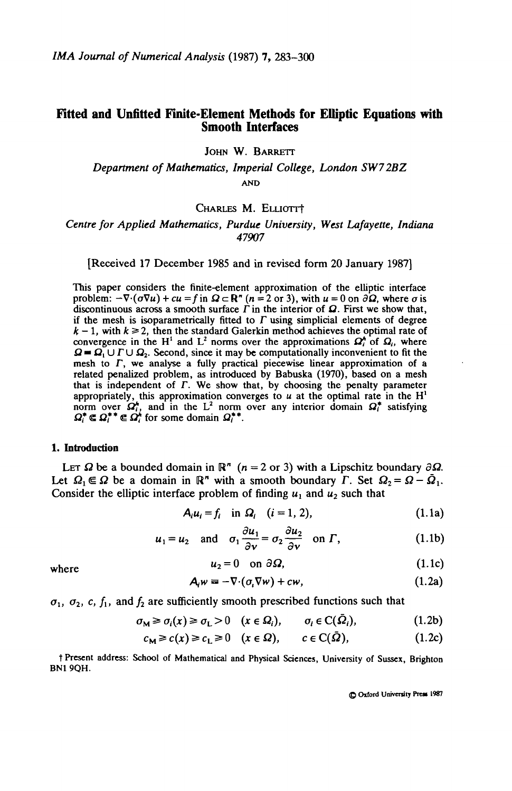## **Fitted and Unfitted Finite-Element Methods for Elliptic Equations with Smooth Interfaces**

JOHN W. BARRETT

*Department of Mathematics, Imperial College, London SW72BZ* **AND**

## CHARLES M. ELLIOTT<sup>+</sup>

## *Centre for Applied Mathematics, Purdue University, West Lafayette, Indiana 47907*

[Received 17 December 1985 and in revised form 20 January 1987]

This paper considers the finite-element approximation of the elliptic interface problem:  $-\nabla \cdot (\sigma \nabla u) + cu = f$  in  $\Omega \subset \mathbb{R}^n$  (n = 2 or 3), with  $u = 0$  on  $\partial \Omega$ , where  $\sigma$  is discontinuous across a smooth surface  $\Gamma$  in the interior of  $\Omega$ . First we show that, if the mesh is isoparametrically fitted to  $\Gamma$  using simplicial elements of degree  $k-1$ , with  $k \ge 2$ , then the standard Galerkin method achieves the optimal rate of convergence in the H<sup>1</sup> and L<sup>2</sup> norms over the approximations  $\Omega_t^*$  of  $\Omega_t$ , where  $\mathbf{Q} = \mathbf{Q}_1 \cup \Gamma \cup \mathbf{Q}_2$ . Second, since it may be computationally inconvenient to fit the mesh to *F,* we analyse a fully practical piecewise linear approximation of a related penalized problem, as introduced by Babuska (1970), based on a mesh that is independent of *F.* We show that, by choosing the penalty parameter appropriately, this approximation converges to *u* at the optimal rate in the H<sup>1</sup> appropriately, this approximation converges to a at the optimal rate in the 11 norm over  $\Omega_t^*$ , and in the  $L^2$  norm over any interior domain  $\Omega_t^*$  satisfying  $\Omega_i^* \subseteq \Omega_i^{**} \subseteq \Omega_i^*$  for some domain  $\Omega_i^{**}$ .

### 1. Introduction

LET  $\Omega$  be a bounded domain in  $\mathbb{R}^n$  ( $n = 2$  or 3) with a Lipschitz boundary  $\partial \Omega$ . Let  $\Omega_1 \in \Omega$  be a domain in  $\mathbb{R}^n$  with a smooth boundary  $\Gamma$ . Set  $\Omega_2 = \Omega - \overline{\Omega}_1$ . Consider the elliptic interface problem of finding  $u_1$  and  $u_2$  such that

$$
\mathbf{A}_i \mathbf{u}_i = f_i \quad \text{in } \mathbf{\Omega}_i \quad (i = 1, 2), \tag{1.1a}
$$

$$
u_1 = u_2
$$
 and  $\sigma_1 \frac{\partial u_1}{\partial v} = \sigma_2 \frac{\partial u_2}{\partial v}$  on  $\Gamma$ , (1.1b)

$$
_{2}=0\quad\text{on }\partial\Omega\text{,}\tag{1.1c}
$$

$$
A_i w = -\nabla \cdot (\sigma_i \nabla w) + c w, \qquad (1.2a)
$$

 $\sigma_1$ ,  $\sigma_2$ , *c*,  $f_1$ , and  $f_2$  are sufficiently smooth prescribed functions such that

$$
\sigma_{\mathbf{M}} \geq \sigma_i(x) \geq \sigma_{\mathbf{L}} > 0 \quad (x \in \Omega_i), \qquad \sigma_i \in \mathcal{C}(\Omega_i), \tag{1.2b}
$$

$$
c_{\mathbf{M}} \geq c(x) \geq c_{\mathbf{L}} \geq 0 \quad (x \in \Omega), \qquad c \in \mathbf{C}(\bar{\Omega}), \tag{1.2c}
$$

t Present address: School of Mathematical and Physical Sciences, University of Sussex, Brighton BN1 9QH.

**© Oxford Univenity Pre« 1987**

where  $u_2$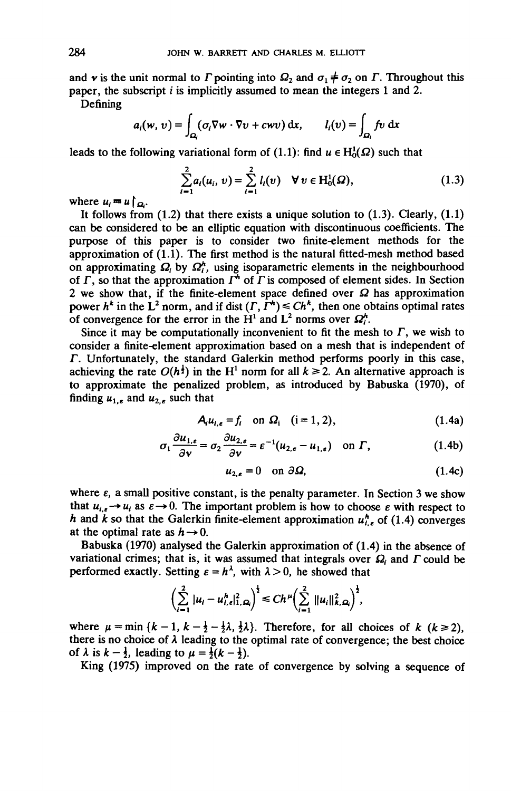and **v** is the unit normal to  $\Gamma$  pointing into  $\Omega_2$  and  $\sigma_1 \neq \sigma_2$  on  $\Gamma$ . Throughout this paper, the subscript *i* is implicitly assumed to mean the integers 1 and 2.

Defining

$$
a_i(w, v) = \int_{\Omega_i} (\sigma_i \nabla w \cdot \nabla v + c w v) \, dx, \qquad l_i(v) = \int_{\Omega_i} f v \, dx
$$

leads to the following variational form of (1.1): find  $u \in H_0^1(\Omega)$  such that

$$
\sum_{i=1}^{2} a_i(u_i, v) = \sum_{i=1}^{2} l_i(v) \quad \forall \ v \in H_0^1(\Omega), \tag{1.3}
$$

where  $u_i = u \bigg( \underline{\sigma} \bigg)$ .

It follows from  $(1.2)$  that there exists a unique solution to  $(1.3)$ . Clearly,  $(1.1)$ can be considered to be an elliptic equation with discontinuous coefficients. The purpose of this paper is to consider two finite-element methods for the approximation of (1.1). The first method is the natural fitted-mesh method based on approximating  $\Omega_i$  by  $\Omega_i^h$ , using isoparametric elements in the neighbourhood of  $\Gamma$ , so that the approximation  $\Gamma^*$  of  $\Gamma$  is composed of element sides. In Section 2 we show that, if the finite-element space defined over  $\Omega$  has approximation power  $h^k$  in the  $\mathbf{L}^2$  norm, and if dist  $(\Gamma, \Gamma^k) \leq Ch^k$ , then one obtains optimal rates power *n* in the L horm, and h dist  $(1, 1) \leq Cn$ , then one obtorded convergence for the error in the H<sup>1</sup> and L<sup>2</sup> norms over  $\Omega_1^h$ .

Since it may be computationally inconvenient to fit the mesh to  $\Gamma$ , we wish to consider a finite-element approximation based on a mesh that is independent of *F.* Unfortunately, the standard Galerkin method performs poorly in this case, achieving the rate  $O(h^{\frac{1}{2}})$  in the H<sup>1</sup> norm for all  $k \ge 2$ . An alternative approach is to approximate the penalized problem, as introduced by Babuska (1970), of finding  $u_{1,\epsilon}$  and  $u_{2,\epsilon}$  such that

$$
A_i u_{i,\epsilon} = f_i \quad \text{on } \Omega_i \quad (i = 1, 2), \tag{1.4a}
$$

$$
\sigma_1 \frac{\partial u_{1,\epsilon}}{\partial v} = \sigma_2 \frac{\partial u_{2,\epsilon}}{\partial v} = \varepsilon^{-1} (u_{2,\epsilon} - u_{1,\epsilon}) \quad \text{on } \Gamma,
$$
 (1.4b)

$$
u_{2,\epsilon} = 0 \quad \text{on } \partial \Omega, \tag{1.4c}
$$

where  $\varepsilon$ , a small positive constant, is the penalty parameter. In Section 3 we show that  $u_{i,\varepsilon} \to u_i$  as  $\varepsilon \to 0$ . The important problem is how to choose  $\varepsilon$  with respect to *h* and *k* so that the Galerkin finite-element approximation  $u_{i,e}^{h}$  of (1.4) converges at the optimal rate as  $h \rightarrow 0$ .

Babuska (1970) analysed the Galerkin approximation of (1.4) in the absence of variational crimes; that is, it was assumed that integrals over  $\Omega$ , and  $\Gamma$  could be performed exactly. Setting  $\varepsilon = h^{\lambda}$ , with  $\lambda > 0$ , he showed that

$$
\left(\sum_{i=1}^2 |u_i - u_{i,\epsilon}^h|_{1,\Omega_i}^2\right)^{\frac{1}{2}} \le Ch^{\mu} \left(\sum_{i=1}^2 ||u_i||_{k,\Omega_i}^2\right)^{\frac{1}{2}},
$$

where  $\mu = \min \{k - 1, k -\frac{1}{2} - \frac{1}{2}\lambda, \frac{1}{2}\lambda\}$ . Therefore, for all choices of *k* ( $k \ge 2$ ), there is no choice of  $\lambda$  leading to the optimal rate of convergence; the best choice of  $\lambda$  is  $k - \frac{1}{2}$ , leading to  $\mu = \frac{1}{2}(k - \frac{1}{2})$ .

King (1975) improved on the rate of convergence by solving a sequence of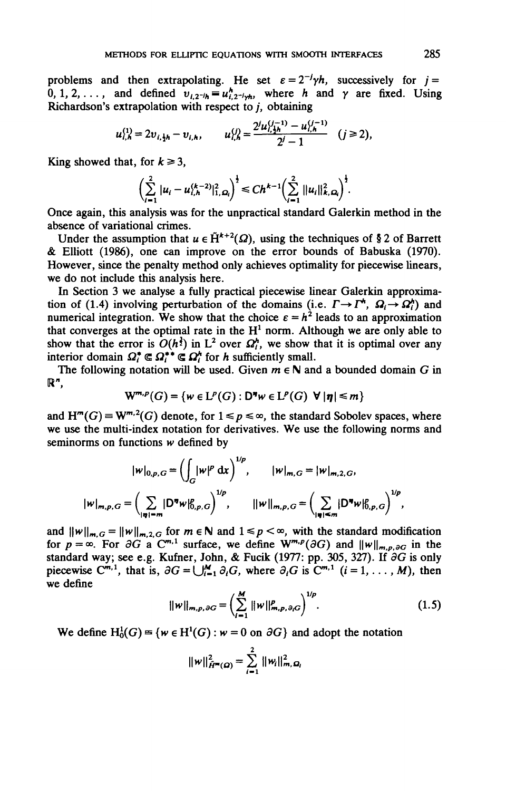problems and then extrapolating. He set  $\varepsilon = 2^{-j}\gamma h$ , successively for  $j =$ 0, 1, 2, ..., and defined  $v_{i2}$ <sup>*-th*</sup> =  $u_i^h$ <sub>2</sub>-*t<sub>n</sub>*, where *h* and  $\gamma$  are fixed. Using Richardson's extrapolation with respect to  $j$ , obtaining

$$
u_{i,h}^{(1)} = 2v_{i,\frac{1}{2}h} - v_{i,h}, \qquad u_{i,h}^{(j)} = \frac{2^j u_{i,\frac{1}{2}h}^{(j-1)} - u_{i,h}^{(j-1)}}{2^j - 1} \quad (j \ge 2),
$$

King showed that, for  $k \ge 3$ ,

$$
\left(\sum_{i=1}^2 |u_i - u_{i,h}^{(k-2)}|_{1,\Omega_i}^2\right)^{\frac{1}{2}} \le C h^{k-1} \left(\sum_{i=1}^2 ||u_i||_{k,\Omega_i}^2\right)^{\frac{1}{2}}.
$$

Once again, this analysis was for the unpractical standard Galerkin method in the absence of variational crimes.

Under the assumption that  $u \in \tilde{H}^{k+2}(\Omega)$ , using the techniques of § 2 of Barrett & Elliott (1986), one can improve on the error bounds of Babuska (1970). However, since the penalty method only achieves optimality for piecewise linears, we do not include this analysis here.

In Section 3 we analyse a fully practical piecewise linear Galerkin approximation of (1.4) involving perturbation of the domains (i.e.  $\Gamma \rightarrow \Gamma^*, \Omega \rightarrow \Omega_i^*$ ) and numerical integration. We show that the choice  $\varepsilon = h^2$  leads to an approximation that converges at the optimal rate in the  $H<sup>1</sup>$  norm. Although we are only able to show that the error is  $O(h^{\frac{3}{2}})$  in  $L^2$  over  $\Omega_t^h$ , we show that it is optimal over any interior domain  $\Omega_i^* \subseteq \Omega_i^{**} \subseteq \Omega_i^*$  for *h* sufficiently small.

The following notation will be used. Given  $m \in \mathbb{N}$  and a bounded domain G in **or,**

$$
W^{m,p}(G) = \{ w \in L^p(G) : D^m w \in L^p(G) \ \forall \ |\eta| \leq m \}
$$

and  $H^m(G) \equiv W^{m,2}(G)$  denote, for  $1 \leq p \leq \infty$ , the standard Sobolev spaces, where we use the multi-index notation for derivatives. We use the following norms and seminorms on functions *w* defined by

$$
|w|_{0,p,G} = \left(\int_G |w|^p \, dx\right)^{1/p}, \qquad |w|_{m,G} = |w|_{m,2,G},
$$
  

$$
|w|_{m,p,G} = \left(\sum_{|\eta|=m} |D^{\eta}w|_{0,p,G}^p\right)^{1/p}, \qquad ||w||_{m,p,G} = \left(\sum_{|\eta|=m} |D^{\eta}w|_{0,p,G}^p\right)^{1/p},
$$

and  $||w||_{m,G} = ||w||_{m,2,G}$  for  $m \in \mathbb{N}$  and  $1 \le p < \infty$ , with the standard modification for  $p = \infty$ . For  $\partial G$  a C<sup>m,1</sup> surface, we define  $W^{m,p}(\partial G)$  and  $||w||_{m,p,\partial G}$  in the standard way; see e.g. Kufner, John, & Fucik (1977: pp. 305, 327). If *dG* is only piecewise  $C^{m,1}$ , that is,  $\partial G = \bigcup_{i=1}^{M} \partial_i G$ , where  $\partial_i G$  is  $C^{m,1}$   $(i = 1, ..., M)$ , then we define

$$
||w||_{m,p,\partial G} = \left(\sum_{i=1}^{M} ||w||_{m,p,\partial_i G}^p\right)^{1/p}.
$$
 (1.5)

We define  $H_0^1(G) = \{w \in H^1(G) : w = 0 \text{ on } \partial G\}$  and adopt the notation

$$
||w||_{\tilde{H}^m(\Omega)}^2 = \sum_{i=1}^2 ||w_i||_{m,\Omega_i}^2
$$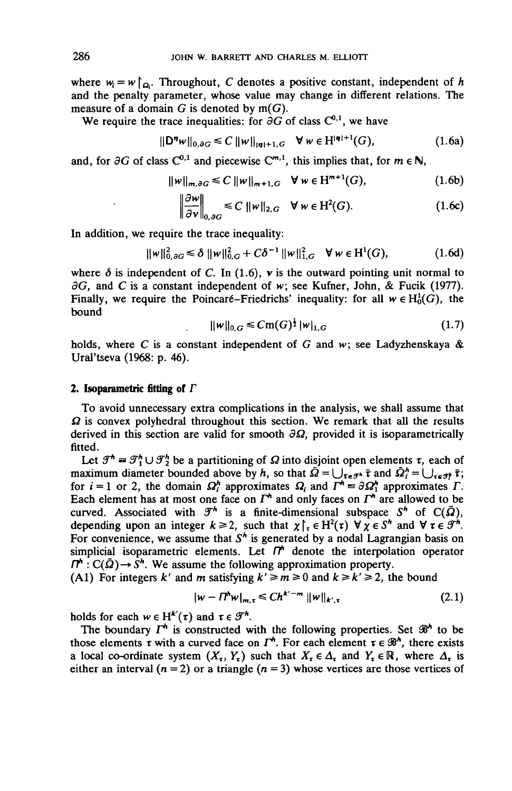where  $w_i = w \upharpoonright_{\Omega_i}$ . Throughout, C denotes a positive constant, independent of h and the penalty parameter, whose value may change in different relations. The measure of a domain  $G$  is denoted by  $m(G)$ .

We require the trace inequalities: for  $\partial G$  of class  $C^{0,1}$ , we have

$$
||D^{\eta}w||_{0,\partial G} \leq C ||w||_{|\eta|+1,G} \quad \forall \ w \in H^{|\eta|+1}(G), \tag{1.6a}
$$

and, for  $\partial G$  of class  $C^{0,1}$  and piecewise  $C^{m,1}$ , this implies that, for  $m \in \mathbb{N}$ ,

$$
\|w\|_{m,\partial G} \leq C \|w\|_{m+1,G} \quad \forall \, w \in H^{m+1}(G), \tag{1.6b}
$$

$$
\left\|\frac{\partial w}{\partial v}\right\|_{0,\partial G} \leq C \|w\|_{2,G} \quad \forall \ w \in \mathrm{H}^2(G). \tag{1.6c}
$$

In addition, we require the trace inequality:

$$
\|w\|_{0,\partial G}^2 \le \delta \|w\|_{0,G}^2 + C\delta^{-1} \|w\|_{1,G}^2 \quad \forall \, w \in H^1(G), \tag{1.6d}
$$

where  $\delta$  is independent of C. In (1.6),  $\mathbf{v}$  is the outward pointing unit normal to  $\partial G$ , and C is a constant independent of w; see Kufner, John, & Fucik (1977). Finally, we require the Poincaré-Friedrichs' inequality: for all  $w \in H_0^1(G)$ , the bound

$$
\|\mathbf{w}\|_{0,G} \leq C \mathbf{m}(G)^{\frac{1}{2}} \|\mathbf{w}\|_{1,G} \tag{1.7}
$$

holds, where *C* is a constant independent of G and *w;* see Ladyzhenskaya & Ural'tseva (1968: p. 46).

### **2. Isoparametric fitting of** *F*

To avoid unnecessary extra complications in the analysis, we shall assume that  $\Omega$  is convex polyhedral throughout this section. We remark that all the results derived in this section are valid for smooth  $\partial \Omega$ , provided it is isoparametrically fitted.

Let  $\mathcal{F}^h = \mathcal{F}^h \cup \mathcal{F}^h$  be a partitioning of  $\Omega$  into disjoint open elements  $\tau$ , each of maximum diameter bounded above by h, so that  $\overline{\Omega} = \bigcup_{\tau \in \mathcal{F}^k} \overline{\tau}$  and  $\overline{\Omega}^k = \bigcup_{\tau \in \mathcal{F}^k} \overline{\tau}$ ; for  $i = 1$  or 2, the domain  $\Omega_i^h$  approximates  $\Omega_i$  and  $\Gamma^h = \partial \Omega_1^h$  approximates  $\Gamma$ . Each element has at most one face on  $\Gamma^*$  and only faces on  $\Gamma^*$  are allowed to be curved. Associated with  $\mathcal{F}^h$  is a finite-dimensional subspace  $S^h$  of  $C(\bar{\Omega})$ , depending upon an integer  $k \ge 2$ , such that  $\chi \upharpoonright_{\tau} \in H^2(\tau)$   $\forall \chi \in S^h$  and  $\forall \tau \in \mathcal{F}^h$ . For convenience, we assume that  $S<sup>h</sup>$  is generated by a nodal Lagrangian basis on simplicial isoparametric elements. Let  $\Pi^*$  denote the interpolation operator  $f^{\prime}$  :  $C(\bar{\Omega}) \rightarrow S^h$ . We assume the following approximation property.

(A1) For integers k' and m satisfying  $k' \ge m \ge 0$  and  $k \ge k' \ge 2$ , the bound

$$
|w - \Pi^{h} w|_{m,\tau} \leq C h^{k'-m} \|w\|_{k',\tau}
$$
 (2.1)

holds for each  $w \in H^{k'}(\tau)$  and  $\tau \in \mathcal{F}^h$ .

The boundary  $\Gamma^h$  is constructed with the following properties. Set  $\mathcal{B}^h$  to be those elements  $\tau$  with a curved face on  $\Gamma^*$ . For each element  $\tau \in \mathcal{B}^*$ , there exists a local co-ordinate system  $(X_r, Y_r)$  such that  $X_r \in \Delta_r$  and  $Y_r \in \mathbb{R}$ , where  $\Delta_r$  is either an interval  $(n = 2)$  or a triangle  $(n = 3)$  whose vertices are those vertices of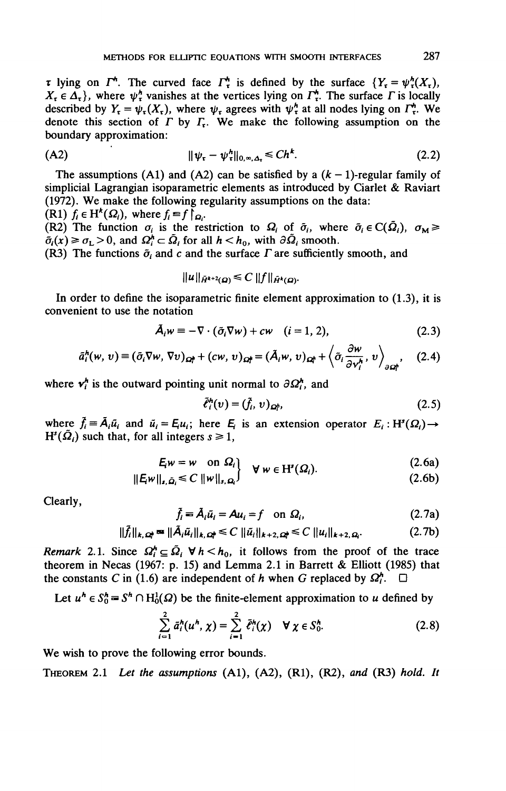*x* lying on  $\Gamma^*$ . The curved face  $\Gamma^*$  is defined by the surface  ${Y_t = \psi^h_t(X_t)}$ ,  $X_t \in \Delta_t$ , where  $\psi_t^h$  vanishes at the vertices lying on  $\Gamma_t^h$ . The surface  $\Gamma$  is locally described by  $Y_r = \psi_r(X_r)$ , where  $\psi_r$  agrees with  $\psi_r^h$  at all nodes lying on  $\Gamma_r^h$ . We denote this section of  $\overrightarrow{I}$  by  $\overrightarrow{I}$ . We make the following assumption on the boundary approximation:

$$
||\psi_{\tau} - \psi_{\tau}^{h}||_{0,\infty,\Delta_{\tau}} \leq C h^{k}.
$$
 (2.2)

The assumptions (A1) and (A2) can be satisfied by a  $(k - 1)$ -regular family of simplicial Lagrangian isoparametric elements as introduced by Ciarlet & Raviart (1972). We make the following regularity assumptions on the data:

(R1)  $f_i \in H^k(\Omega_i)$ , where  $f_i = f \overline{a_i}$ .

(R2) The function  $\sigma_i$  is the restriction to  $\Omega_i$  of  $\tilde{\sigma}_i$ , where  $\tilde{\sigma}_i \in C(\tilde{\Omega}_i)$ ,  $\sigma_M \geq$  $\tilde{\sigma}_i(x) \ge \sigma_L > 0$ , and  $\Omega_i^h \subset \tilde{\Omega}_i$  for all  $h < h_0$ , with  $\partial \tilde{\Omega}_i$  smooth.

(R3) The functions  $\tilde{\sigma}_i$  and c and the surface  $\Gamma$  are sufficiently smooth, and

$$
||u||_{\tilde{H}^{k+2}(\Omega)} \leq C ||f||_{\tilde{H}^k(\Omega)}.
$$

In order to define the isoparametric finite element approximation to (1.3), it is convenient to use the notation

$$
\tilde{A}_i w \equiv -\nabla \cdot (\tilde{\sigma}_i \nabla w) + c w \quad (i = 1, 2), \tag{2.3}
$$

$$
\tilde{a}_i^h(w, v) \equiv (\tilde{\sigma}_i \nabla w, \nabla v)_{\Omega_i^h} + (cw, v)_{\Omega_i^h} = (\tilde{A}_i w, v)_{\Omega_i^h} + \left\langle \tilde{\sigma}_i \frac{\partial w}{\partial v_i^h}, v \right\rangle_{\partial \Omega_i^h}, \quad (2.4)
$$

where  $v_i^h$  is the outward pointing unit normal to  $\partial \Omega_i^h$ , and

$$
\tilde{\ell}_i^h(v) = (\tilde{f}_i, v)_{\Omega_i^h},\tag{2.5}
$$

where  $\tilde{f}_i = \tilde{A}_i \tilde{u}_i$  and  $\tilde{u}_i = E_i u_i$ ; here  $E_i$  is an extension operator  $E_i : H^s(\Omega_i) \to$  $H^{s}(\tilde{\Omega}_{i})$  such that, for all integers  $s \ge 1$ ,

$$
E_i w = w \quad \text{on } \Omega_i \qquad \forall \ w \in H^s(\Omega_i). \tag{2.6a}
$$

$$
\|\mathbf{E}_{\mathbf{W}}\|_{\mathbf{s},\,\tilde{\mathbf{\Omega}}_{l}} \leq C \, \|\mathbf{w}\|_{\mathbf{s},\,\mathbf{\Omega}_{l}} \qquad \qquad (\text{2.6b})
$$

Clearly,

$$
\tilde{f}_i = \tilde{A}_i \tilde{u}_i = A u_i = f \quad \text{on } \Omega_i,\tag{2.7a}
$$

$$
\|\tilde{f}_i\|_{k,\,\Omega_i^{\boldsymbol{\mu}}} = \|\tilde{A}_i\tilde{u}_i\|_{k,\,\Omega_i^{\boldsymbol{\mu}}} \leq C \,\|\tilde{u}_i\|_{k+2,\,\Omega_i} \leq C \,\|u_i\|_{k+2,\,\Omega_i}.\tag{2.7b}
$$

*Remark* 2.1. Since  $\Omega_i^h \subseteq \tilde{\Omega}_i$   $\forall h < h_0$ , it follows from the proof of the trace theorem in Necas (1967: p. 15) and Lemma 2.1 in Barrett & Elliott (1985) that the constants C in (1.6) are independent of h when G replaced by  $\Omega_i^h$ .

Let  $u^h \in S_0^h = S^h \cap H_0^1(\Omega)$  be the finite-element approximation to *u* defined by

$$
\sum_{i=1}^{2} \bar{a}_{i}^{h}(u^{h}, \chi) = \sum_{i=1}^{2} \bar{\ell}_{i}^{h}(\chi) \quad \forall \chi \in S_{0}^{h}.
$$
 (2.8)

We wish to prove the following error bounds.

THEOREM 2.1 *Let the assumptions* (Al), (A2), (Rl), (R2), *and* (R3) *hold. It*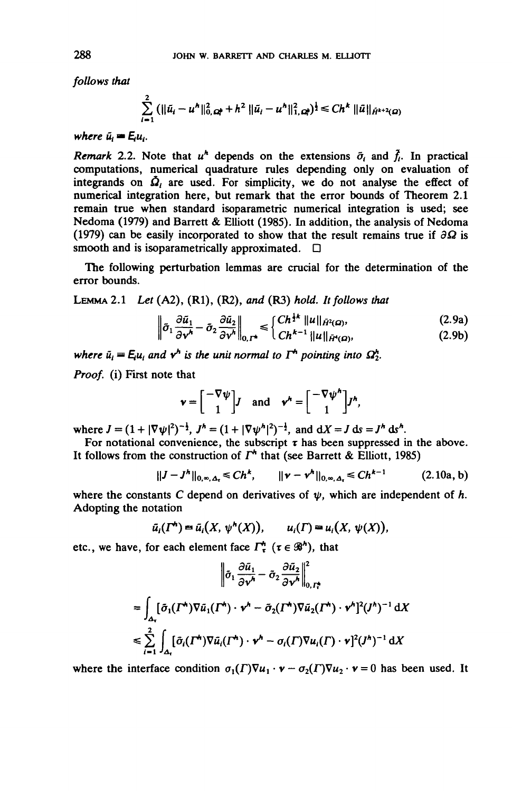*follows that*

$$
\sum_{i=1}^{2} (||\tilde{u}_i - u^h||_{0,\Omega_i^k}^2 + h^2 ||\tilde{u}_i - u^h||_{1,\Omega_i^k}^2)^{\frac{1}{2}} \le Ch^k ||\tilde{u}||_{\tilde{H}^{k+2}(\Omega)}
$$

*where*  $\tilde{u}_i = Eu_i$ .

*Remark* 2.2. Note that  $u^h$  depends on the extensions  $\tilde{\sigma}_i$  and  $\tilde{f}_i$ . In practical computations, numerical quadrature rules depending only on evaluation of integrands on  $\mathbf{\Omega}_i$  are used. For simplicity, we do not analyse the effect of numerical integration here, but remark that the error bounds of Theorem 2.1 remain true when standard isoparametric numerical integration is used; see Nedoma (1979) and Barrett & Elliott (1985). In addition, the analysis of Nedoma (1979) can be easily incorporated to show that the result remains true if *9Q* is smooth and is isoparametrically approximated.  $\Box$ 

The following perturbation lemmas are crucial for the determination of the error bounds.

LEMMA 2.1 *Ut* (A2), (Rl), (R2), *and* (R3) *hold. It follows that*

$$
\left\|\tilde{\sigma}_1 \frac{\partial \tilde{u}_1}{\partial \mathbf{v}^h} - \tilde{\sigma}_2 \frac{\partial \tilde{u}_2}{\partial \mathbf{v}^h}\right\|_{0,\Gamma^*} \leq \begin{cases} Ch^{\frac{1}{2}k} \left\|u\right\|_{\tilde{H}^2(\Omega)}, & (2.9a) \\ Ch^{k-1} \left\|u\right\|_{\tilde{H}^k(\Omega)}, & (2.9b) \end{cases}
$$

*where*  $\tilde{u}_i = E_i u_i$  and  $\mathbf{v}^h$  is the unit normal to  $\Gamma^h$  pointing into  $\Omega_2^h$ .

*Proof,* (i) First note that

$$
\mathbf{v} = \begin{bmatrix} -\nabla \psi \\ 1 \end{bmatrix} \mathbf{J} \quad \text{and} \quad \mathbf{v}^h = \begin{bmatrix} -\nabla \psi^h \\ 1 \end{bmatrix} \mathbf{J}^h,
$$

where  $J = (1 + |\nabla \psi|^2)^{-\frac{1}{2}}$ ,  $J^h = (1 + |\nabla \psi^h|^2)^{-\frac{1}{2}}$ , and  $dX = J ds = J^h ds^h$ .

For notational convenience, the subscript  $\tau$  has been suppressed in the above. It follows from the construction of  $\Gamma^*$  that (see Barrett & Elliott, 1985)

$$
||J-Jh||0,\infty,\Delta_{\tau}} \le Chk, \qquad ||\mathbf{v}-\mathbf{v}^h||_{0,\infty,\Delta_{\tau}} \le Chk-1 \qquad (2.10a,b)
$$

where the constants C depend on derivatives of  $\psi$ , which are independent of h. Adopting the notation

$$
\bar{u}_i(\Gamma^{\mathbf{t}}) = \bar{u}_i(X, \psi^{\mathbf{h}}(X)), \qquad u_i(\Gamma) = u_i(X, \psi(X)),
$$

etc., we have, for each element face  $\Gamma_{\tau}^{h}$  ( $\tau \in \mathcal{B}^{h}$ ), that

$$
\left\|\tilde{\sigma}_{1} \frac{\partial \tilde{u}_{1}}{\partial v^{h}} - \tilde{\sigma}_{2} \frac{\partial \tilde{u}_{2}}{\partial v^{h}}\right\|_{0, \Gamma_{\tau}^{*}}^{2}
$$
\n
$$
= \int_{\Delta_{\tau}} [\tilde{\sigma}_{1}(I^{*}) \nabla \tilde{u}_{1}(I^{*}) \cdot v^{h} - \tilde{\sigma}_{2}(I^{*}) \nabla \tilde{u}_{2}(I^{*}) \cdot v^{h}]^{2} (J^{h})^{-1} \, \mathrm{d}X
$$
\n
$$
\leq \sum_{i=1}^{2} \int_{\Delta_{\tau}} [\tilde{\sigma}_{i}(I^{*}) \nabla \tilde{u}_{i}(I^{*}) \cdot v^{h} - \sigma_{i}(I) \nabla u_{i}(I) \cdot v]^{2} (J^{h})^{-1} \, \mathrm{d}X
$$

where the interface condition  $\sigma_1(\Gamma)\nabla u_1 \cdot \mathbf{v} - \sigma_2(\Gamma)\nabla u_2 \cdot \mathbf{v} = 0$  has been used. It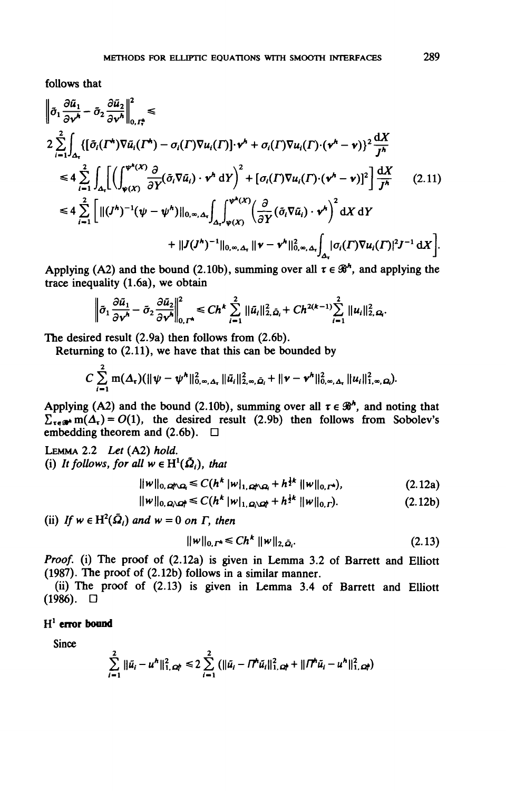follows that

$$
\begin{split}\n\left\|\tilde{\sigma}_{1} \frac{\partial \tilde{u}_{1}}{\partial v^{h}} - \tilde{\sigma}_{2} \frac{\partial \tilde{u}_{2}}{\partial v^{h}}\right\|_{0, \frac{1}{\epsilon_{1}}}^{2} &\leqslant \\
2 \sum_{i=1}^{2} \int_{\Delta_{\tau}} \left\{ \left[\tilde{\sigma}_{i}(\Gamma^{h}) \nabla \tilde{u}_{i}(\Gamma^{h}) - \sigma_{i}(\Gamma) \nabla u_{i}(\Gamma) \cdot v^{h} + \sigma_{i}(\Gamma) \nabla u_{i}(\Gamma) \cdot (v^{h} - v) \right]^{2} \frac{dX}{J^{h}} \\
&\leqslant 4 \sum_{i=1}^{2} \int_{\Delta_{\tau}} \left[ \left( \int_{\psi(X)}^{\psi^{h}(X)} \frac{\partial}{\partial Y} (\tilde{\sigma}_{i} \nabla \tilde{u}_{i}) \cdot v^{h} \, dY \right)^{2} + \left[ \sigma_{i}(\Gamma) \nabla u_{i}(\Gamma) \cdot (v^{h} - v) \right]^{2} \right] \frac{dX}{J^{h}} \qquad (2.11) \\
&\leqslant 4 \sum_{i=1}^{2} \left[ \| (J^{h})^{-1} (\psi - \psi^{h}) \|_{0, \infty, \Delta_{\tau}} \int_{\Delta_{\tau}} \int_{\psi(X)}^{\psi^{h}(X)} \left( \frac{\partial}{\partial Y} (\tilde{\sigma}_{i} \nabla \tilde{u}_{i}) \cdot v^{h} \right)^{2} \, dX \, dY \right. \\
&\qquad \qquad + \| J(J^{h})^{-1} \|_{0, \infty, \Delta_{\tau}} \left\| v - v^{h} \|_{0, \infty, \Delta_{\tau}}^{2} \int_{\Delta_{\tau}} |\sigma_{i}(\Gamma) \nabla u_{i}(\Gamma)|^{2} J^{-1} \, dX \right].\n\end{split}
$$

Applying (A2) and the bound (2.10b), summing over all  $\tau \in \mathcal{B}^h$ , and applying the trace inequality (1.6a), we obtain

$$
\left\|\tilde{\sigma}_1\frac{\partial \tilde{u}_1}{\partial \mathbf{v}^h}-\tilde{\sigma}_2\frac{\partial \tilde{u}_2}{\partial \mathbf{v}^h}\right\|_{0,\Gamma^*}^2\leq Ch^k\sum_{i=1}^2\|\tilde{u}_i\|_{2,\tilde{\mathbf{\Omega}}_i}^2+Ch^{2(k-1)}\sum_{i=1}^2\|u_i\|_{2,\mathbf{\Omega}}^2.
$$

The desired result (2.9a) then follows from (2.6b).

Returning to (2.11), we have that this can be bounded by

$$
C\sum_{i=1}^2 m(\Delta_{\tau})(\|\psi-\psi^h\|_{0,\infty,\Delta_{\tau}}^2\|\tilde{u}_i\|_{2,\infty,\tilde{\Omega}_i}^2+\|\mathbf{v}-\mathbf{v}^h\|_{0,\infty,\Delta_{\tau}}^2\|u_i\|_{1,\infty,\Omega_i}^2).
$$

Applying (A2) and the bound (2.10b), summing over all  $\tau \in \mathcal{B}^h$ , and noting that  $\sum_{\tau \in \mathcal{R}} m(\Delta_{\tau}) = O(1)$ , the desired result (2.9b) then follows from Sobolev's embedding theorem and  $(2.6b)$ .  $\Box$ 

LEMMA 2.2 *Let* (A2) *hold.* (i) It follows, for all  $w \in H^1(\bar{\Omega}_i)$ , that

$$
\|w\|_{0,\,\Omega\!\!\uparrow\!\!\sim\!\Omega} \leq C(h^k\,|w|_{1,\,\Omega\!\!\uparrow\!\!\sim\!\Omega} + h^{\frac{1}{2}k}\,\|w\|_{0,\,\Gamma^k}),\tag{2.12a}
$$

$$
||w||_{0,\Omega\setminus\Omega^k} \leq C(h^k \, |w|_{1,\Omega\setminus\Omega^k} + h^{\frac{1}{2}k} \, ||w||_{0,\Gamma}).\tag{2.12b}
$$

(ii) If  $w \in H^2(\bar{\Omega}_i)$  and  $w = 0$  on  $\Gamma$ , then

$$
||w||_{0,I^*} \leq C h^k ||w||_{2,\bar{\Omega}_i}.
$$
 (2.13)

*Proof,* (i) The proof of (2.12a) is given in Lemma 3.2 of Barrett and Elliott (1987). The proof of (2.12b) follows in a similar manner.

(ii) The proof of (2.13) is given in Lemma 3.4 of Barrett and Elliott  $(1986)$ .  $\Box$ 

## H 1  **error bound**

Since

$$
\sum_{i=1}^{2} \|\tilde{u}_i - u^h\|_{1,\,\Omega_i^h}^2 \leq 2 \sum_{i=1}^{2} \left( \|\tilde{u}_i - \Pi^h \tilde{u}_i\|_{1,\,\Omega_i^h}^2 + \|\Pi^h \tilde{u}_i - u^h\|_{1,\,\Omega_i^h}^2 \right)
$$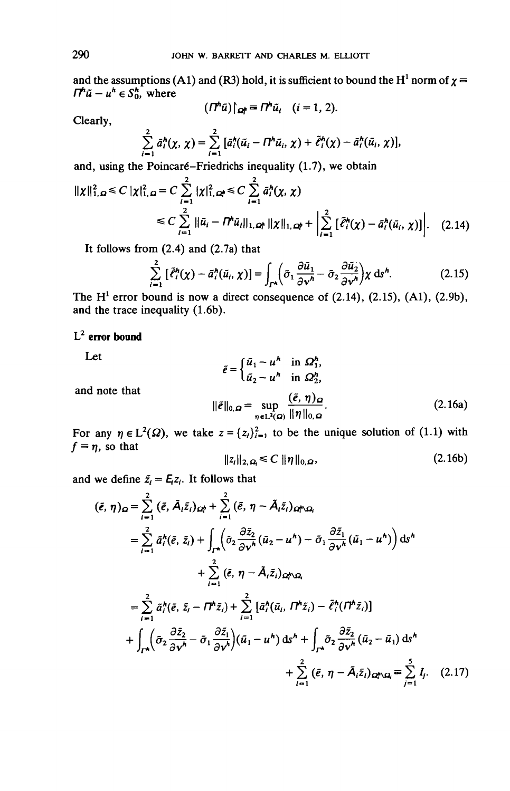and the assumptions (A1) and (R3) hold, it is sufficient to bound the H<sup>1</sup> norm of  $\chi =$  $\pi^n \tilde{u} - u^h \in S_0^h$ , where

$$
(\Pi^h \tilde{u})|_{\Omega^h_l} = \Pi^h \tilde{u}_l \quad (i = 1, 2).
$$

Clearly,

$$
\sum_{i=1}^2 \tilde{a}_i^h(\chi, \chi) = \sum_{i=1}^2 \big[ \tilde{a}_i^h(\tilde{u}_i - \Pi^h \tilde{u}_i, \chi) + \tilde{\ell}_i^h(\chi) - \tilde{a}_i^h(\tilde{u}_i, \chi) \big],
$$

and, using the Poincaré-Friedrichs inequality  $(1.7)$ , we obtain

$$
\| \chi \|_{1,\Omega}^2 \le C \, |\chi|_{1,\Omega}^2 = C \sum_{i=1}^2 |\chi|_{1,\Omega}^2 \le C \sum_{i=1}^2 \bar{a}_i^h(\chi,\chi)
$$
  

$$
\le C \sum_{i=1}^2 \| \bar{a}_i - \Pi^h \bar{a}_i \|_{1,\Omega} \| \chi \|_{1,\Omega} + \left| \sum_{i=1}^2 \left[ \bar{\ell}_i^h(\chi) - \bar{a}_i^h(\bar{a}_i, \chi) \right] \right|. \quad (2.14)
$$

It follows from  $(2.4)$  and  $(2.7a)$  that

$$
\sum_{i=1}^{2} \left[ \tilde{\ell}_{i}^{h}(\chi) - \tilde{a}_{i}^{h}(\tilde{u}_{i}, \chi) \right] = \int_{\Gamma^{h}} \left( \tilde{\sigma}_{1} \frac{\partial \tilde{u}_{1}}{\partial \nu^{h}} - \tilde{\sigma}_{2} \frac{\partial \tilde{u}_{2}}{\partial \nu^{h}} \right) \chi \, \mathrm{d}s^{h}.
$$
 (2.15)

The  $H<sup>1</sup>$  error bound is now a direct consequence of (2.14), (2.15), (A1), (2.9b), and the trace inequality (1.6b).

# L 2  **error bound**

Let

$$
\tilde{e} = \begin{cases} \tilde{u}_1 - u^h & \text{in } \Omega_1^h, \\ \tilde{u}_2 - u^h & \text{in } \Omega_2^h, \end{cases}
$$

and note that  $(5, 1)$ 

$$
\|\tilde{e}\|_{0,\Omega} = \sup_{\eta \in L^2(\Omega)} \frac{(\tilde{e}, \eta)_{\Omega}}{\|\eta\|_{0,\Omega}}.
$$
 (2.16a)

For any  $\eta \in L^2(\Omega)$ , we take  $z = \{z_i\}_{i=1}^2$  to be the unique solution of (1.1) with  $f = \eta$ , so that

$$
||z_i||_{2,\Omega_i} \leq C ||\eta||_{0,\Omega}, \qquad (2.16b)
$$

and we define  $\tilde{z}_i = E_i z_i$ . It follows that

$$
(\tilde{e}, \eta)_{\Omega} = \sum_{i=1}^{2} (\tilde{e}, \tilde{A}_{i}\tilde{z}_{i})_{\Omega_{i}^{h}} + \sum_{i=1}^{2} (\tilde{e}, \eta - \tilde{A}_{i}\tilde{z}_{i})_{\Omega_{i}^{h}\Omega_{i}}
$$
  
\n
$$
= \sum_{i=1}^{2} \tilde{a}_{i}^{h}(\tilde{e}, \tilde{z}_{i}) + \int_{\Gamma_{i}^{h}} (\tilde{\sigma}_{2} \frac{\partial \tilde{z}_{2}}{\partial v^{h}} (\tilde{u}_{2} - u^{h}) - \tilde{\sigma}_{1} \frac{\partial \tilde{z}_{1}}{\partial v^{h}} (\tilde{u}_{1} - u^{h}) ) ds^{h}
$$
  
\n
$$
+ \sum_{i=1}^{2} (\tilde{e}, \eta - \tilde{A}_{i}\tilde{z}_{i})_{\Omega_{i}^{h}\Omega_{i}}
$$
  
\n
$$
= \sum_{i=1}^{2} \tilde{a}_{i}^{h}(\tilde{e}, \tilde{z}_{i} - \Pi_{i}^{h}\tilde{z}_{i}) + \sum_{i=1}^{2} [\tilde{a}_{i}^{h}(\tilde{u}_{i}, \Pi_{i}^{h}\tilde{z}_{i}) - \tilde{e}_{i}^{h}(\Pi_{i}^{h}\tilde{z}_{i}) ]
$$
  
\n
$$
+ \int_{\Gamma_{i}^{h}} (\tilde{\sigma}_{2} \frac{\partial \tilde{z}_{2}}{\partial v^{h}} - \tilde{\sigma}_{1} \frac{\partial \tilde{z}_{1}}{\partial v^{h}}) (\tilde{u}_{1} - u^{h}) ds^{h} + \int_{\Gamma_{i}^{h}} \tilde{\sigma}_{2} \frac{\partial \tilde{z}_{2}}{\partial v^{h}} (\tilde{u}_{2} - \tilde{u}_{1}) ds^{h}
$$
  
\n
$$
+ \sum_{i=1}^{2} (\tilde{e}, \eta - \tilde{A}_{i}\tilde{z}_{i})_{\Omega_{i}^{h}\Omega_{i}} = \sum_{j=1}^{5} I_{j}. \quad (2.17)
$$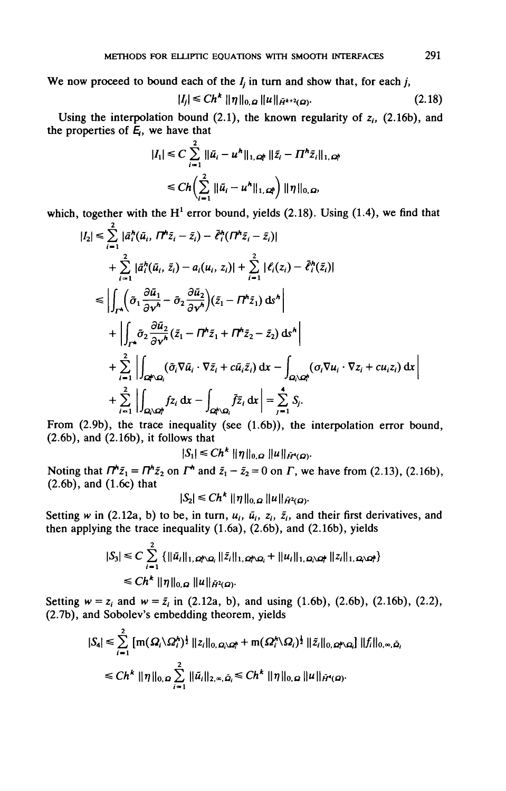We now proceed to bound each of the  $I_i$  in turn and show that, for each  $j$ ,

$$
|I_j| \le Ch^k \|\eta\|_{0,\,\Omega} \|u\|_{\bar{H}^{k+2}(\Omega)}.
$$
 (2.18)

Using the interpolation bound (2.1), the known regularity of  $z_i$ , (2.16b), and the properties of  $\bar{E}_i$ , we have that

$$
|I_{1}| \leq C \sum_{i=1}^{2} ||\tilde{u}_{i} - u^{h}||_{1,\,\Omega_{i}^{h}} ||\tilde{z}_{i} - \Pi^{h}\tilde{z}_{i}||_{1,\,\Omega_{i}^{h}}
$$
  

$$
\leq Ch\left(\sum_{i=1}^{2} ||\tilde{u}_{i} - u^{h}||_{1,\,\Omega_{i}^{h}}\right) ||\eta||_{0,\,\Omega_{i}}
$$

which, together with the  $H^1$  error bound, yields (2.18). Using (1.4), we find that

$$
|I_2| \leq \sum_{i=1}^{\checkmark} |\tilde{a}_i^h(\tilde{u}_i, \Pi^h \tilde{z}_i - \tilde{z}_i) - \tilde{\ell}_i^h(\Pi^h \tilde{z}_i - \tilde{z}_i)|
$$
  
+ 
$$
\sum_{i=1}^2 |\tilde{a}_i^h(\tilde{u}_i, \tilde{z}_i) - a_i(u_i, z_i)| + \sum_{i=1}^2 |\ell_i(z_i) - \tilde{\ell}_i^h(\tilde{z}_i)|
$$
  

$$
\leq \left| \int_{\Gamma^h} (\tilde{\sigma}_1 \frac{\partial \tilde{u}_1}{\partial v^h} - \tilde{\sigma}_2 \frac{\partial \tilde{u}_2}{\partial v^h})(\tilde{z}_1 - \Pi^h \tilde{z}_1) dv^h \right|
$$
  
+ 
$$
\left| \int_{\Gamma^h} \tilde{\sigma}_2 \frac{\partial \tilde{u}_2}{\partial v^h} (\tilde{z}_1 - \Pi^h \tilde{z}_1 + \Pi^h \tilde{z}_2 - \tilde{z}_2) dv^h \right|
$$
  
+ 
$$
\sum_{i=1}^2 \left| \int_{\Omega^h \Omega_i} (\tilde{\sigma}_i \nabla \tilde{u}_i \cdot \nabla \tilde{z}_i + c \tilde{u}_i \tilde{z}_i) dv - \int_{\Omega_i \setminus \Omega_i^h} (\sigma_i \nabla u_i \cdot \nabla z_i + c u_i z_i) dx \right|
$$
  
+ 
$$
\sum_{i=1}^2 \left| \int_{\Omega_i \setminus \Omega_i^h} f z_i dx - \int_{\Omega_i \setminus \Omega_i} \tilde{f} \tilde{z}_i dx \right| = \sum_{i=1}^4 S_i.
$$

From (2.9b), the trace inequality (see (1.6b)), the interpolation error bound, (2.6b), and (2.16b), it follows that

 $|S_1| \leq C h^k \|\eta\|_{0,\Omega} \|u\|_{\tilde{H}^s(\Omega)}.$ 

Noting that  $\mathbf{\Pi}^{\mathbf{h}}\bar{z}_1 = \mathbf{\Pi}^{\mathbf{h}}\bar{z}_2$  on  $\mathbf{\Pi}^{\mathbf{h}}$  and  $\bar{z}_1 - \bar{z}_2 = 0$  on  $\mathbf{\Pi}$ , we have from (2.13), (2.16b), (2.6b), and (1.6c) that

$$
|S_2| \leq Ch^{\kappa} ||\eta||_{0,\Omega} ||u||_{\tilde{H}^2(\Omega)}
$$

Setting w in (2.12a, b) to be, in turn,  $u_i$ ,  $\tilde{u}_i$ ,  $z_i$ ,  $\tilde{z}_i$ , and their first derivatives, and then applying the trace inequality (1.6a), (2.6b), and (2.16b), yields

$$
|S_3| \leq C \sum_{i=1}^{2} \{ ||\bar{u}_i||_{1, \Omega_i \cap \Omega_i} ||\bar{z}_i||_{1, \Omega_i \cap \Omega_i} + ||u_i||_{1, \Omega_i \cap \Omega_i} ||z_i||_{1, \Omega_i \cap \Omega_i} \}
$$
  

$$
\leq Ch^k ||\eta||_{0, \Omega} ||u||_{\tilde{H}^2(\Omega)}.
$$

Setting  $w = z_i$  and  $w = \bar{z}_i$  in (2.12a, b), and using (1.6b), (2.6b), (2.16b), (2.2), (2.7b), and Sobolev's embedding theorem, yields

$$
|S_4| \leq \sum_{i=1}^2 [m(\Omega_i \setminus \Omega_i^{\star})^{\frac{1}{2}} ||z_i||_{0,\Omega_i \setminus \Omega_i^{\star}} + m(\Omega_i^{\star} \setminus \Omega_i)^{\frac{1}{2}} ||\tilde{z}_i||_{0,\Omega_i^{\star} \setminus \Omega_i}] ||f_i||_{0,\infty,\tilde{\Omega}_i}
$$
  

$$
\leq Ch^k ||\eta||_{0,\Omega} \sum_{i=1}^2 ||\tilde{u}_i||_{2,\infty,\tilde{\Omega}_i} \leq Ch^k ||\eta||_{0,\Omega} ||u||_{\tilde{H}^{\star}(\Omega)}.
$$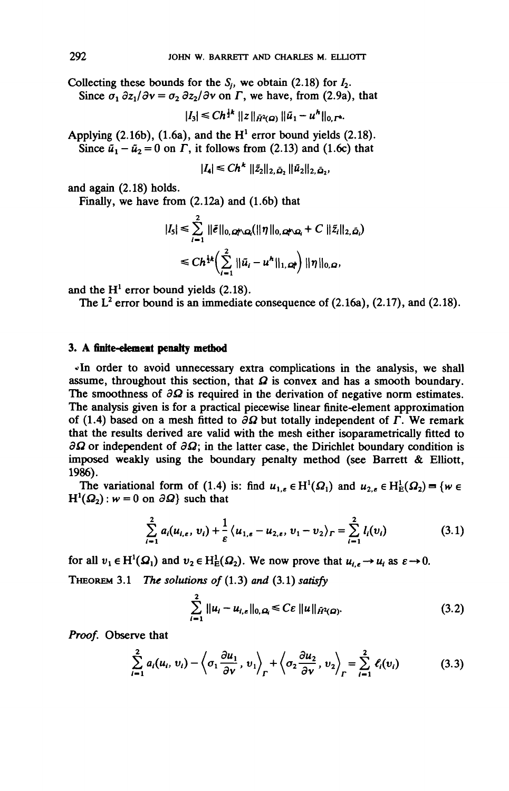Collecting these bounds for the  $S_i$ , we obtain (2.18) for  $I_2$ . Since  $\sigma_1 \frac{\partial z_1}{\partial v} = \sigma_2 \frac{\partial z_2}{\partial v}$  on  $\Gamma$ , we have, from (2.9a), that

 $|I_3| \leq C h^{\frac{1}{2}k} ||z||_{\tilde{H}^2(\Omega)} ||\tilde{u}_1 - u^h||_{0,\Gamma^h}.$ 

Applying  $(2.16b)$ ,  $(1.6a)$ , and the H<sup>1</sup> error bound yields  $(2.18)$ . Since  $\tilde{u}_1 - \tilde{u}_2 = 0$  on  $\Gamma$ , it follows from (2.13) and (1.6c) that

$$
|I_4| \leq C h^k \, ||\tilde{z}_2||_{2,\tilde{\Omega}_2} ||\tilde{u}_2||_{2,\tilde{\Omega}_2},
$$

and again (2.18) holds.

Finally, we have from (2.12a) and (1.6b) that

$$
|I_5| \leq \sum_{i=1}^{2} ||\tilde{e}||_{0,\Omega_i \cap \Omega_i} (||\eta||_{0,\Omega_i \cap \Omega_i} + C ||\tilde{z}_i||_{2,\tilde{\Omega}_i})
$$
  

$$
\leq Ch^{\frac{1}{2}k} \Big( \sum_{i=1}^{2} ||\tilde{u}_i - u^h||_{1,\Omega_i} \Big) ||\eta||_{0,\Omega},
$$

and the  $H^1$  error bound yields (2.18).

The  $L^2$  error bound is an immediate consequence of (2.16a), (2.17), and (2.18).

### 3. A finite-element penalty method

*"In* order to avoid unnecessary extra complications in the analysis, we shall assume, throughout this section, that  $\Omega$  is convex and has a smooth boundary. The smoothness of  $\partial \Omega$  is required in the derivation of negative norm estimates. The analysis given is for a practical piecewise linear finite-element approximation of (1.4) based on a mesh fitted to  $\partial\Omega$  but totally independent of *F*. We remark that the results derived are valid with the mesh either isoparametrically fitted to  $\partial\Omega$  or independent of  $\partial\Omega$ ; in the latter case, the Dirichlet boundary condition is imposed weakly using the boundary penalty method (see Barrett & Elliott, 1986).

The variational form of (1.4) is: find  $u_{1,\varepsilon} \in H^1(\Omega_1)$  and  $u_{2,\varepsilon} \in H^1(\Omega_2) = \{w \in$  $H^1(\Omega_2)$ :  $w = 0$  on  $\partial \Omega$ } such that

$$
\sum_{i=1}^{2} a_i (u_{i,\epsilon}, v_i) + \frac{1}{\epsilon} \langle u_{1,\epsilon} - u_{2,\epsilon}, v_1 - v_2 \rangle_r = \sum_{i=1}^{2} l_i (v_i)
$$
 (3.1)

for all  $v_1 \in H^1(\Omega_1)$  and  $v_2 \in H^1_E(\Omega_2)$ . We now prove that  $u_{i,\epsilon} \to u_i$  as  $\varepsilon \to 0$ .

THEOREM 3.1 *The solutions of* (1.3) *and* (3.1) *satisfy*

$$
\sum_{i=1}^{2} ||u_i - u_{i,\varepsilon}||_{0,\Omega} \leq C\varepsilon ||u||_{\tilde{H}^2(\Omega)}.
$$
 (3.2)

*Proof.* Observe that

$$
\sum_{i=1}^{2} a_i(u_i, v_i) - \left\langle \sigma_1 \frac{\partial u_1}{\partial v}, v_1 \right\rangle_{\Gamma} + \left\langle \sigma_2 \frac{\partial u_2}{\partial v}, v_2 \right\rangle_{\Gamma} = \sum_{i=1}^{2} \ell_i(v_i)
$$
(3.3)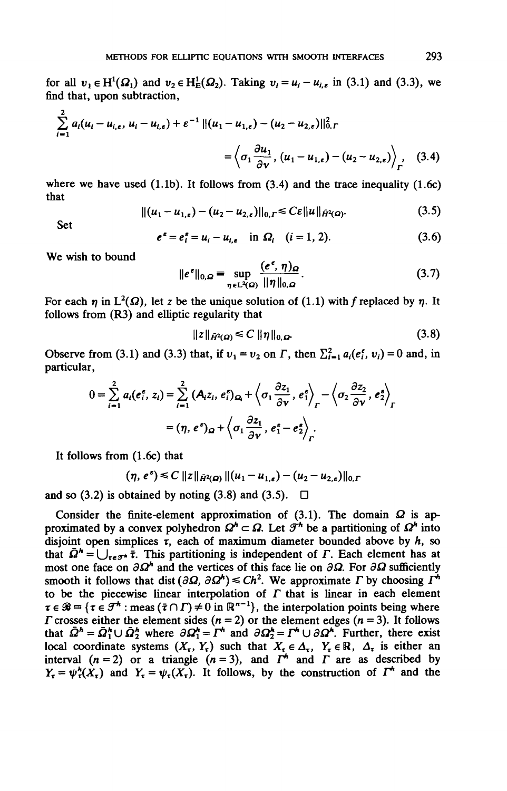for all  $v_1 \in H^1(\Omega_1)$  and  $v_2 \in H^1_E(\Omega_2)$ . Taking  $v_i = u_i - u_{i,\varepsilon}$  in (3.1) and (3.3), we find that, upon subtraction,

$$
\sum_{i=1}^{2} a_{i}(u_{i}-u_{i,\epsilon}, u_{i}-u_{i,\epsilon}) + \varepsilon^{-1} ||(u_{1}-u_{1,\epsilon}) - (u_{2}-u_{2,\epsilon})||_{0,\Gamma}^{2}
$$
\n
$$
= \left\langle \sigma_{1} \frac{\partial u_{1}}{\partial v}, (u_{1}-u_{1,\epsilon}) - (u_{2}-u_{2,\epsilon}) \right\rangle_{\Gamma} , \quad (3.4)
$$

where we have used  $(1.1b)$ . It follows from  $(3.4)$  and the trace inequality  $(1.6c)$ that

$$
||(u_1 - u_{1,\epsilon}) - (u_2 - u_{2,\epsilon})||_{0,\Gamma} \leq C\varepsilon ||u||_{\tilde{H}^2(\Omega)}.
$$
 (3.5)

Set

$$
e^{\epsilon} = e_i^{\epsilon} = u_i - u_{i,\epsilon} \quad \text{in } \Omega_i \quad (i = 1, 2). \tag{3.6}
$$

We wish to bound

$$
||e^{\epsilon}||_{0,\Omega} = \sup_{\eta \in L^{2}(\Omega)} \frac{(e^{\epsilon}, \eta)_{\Omega}}{||\eta||_{0,\Omega}}.
$$
 (3.7)

For each  $\eta$  in  $L^2(\Omega)$ , let z be the unique solution of (1.1) with f replaced by  $\eta$ . It follows from (R3) and elliptic regularity that

$$
||z||_{\tilde{H}^2(\Omega)} \leq C ||\eta||_{0,\Omega} \tag{3.8}
$$

Observe from (3.1) and (3.3) that, if  $v_1 = v_2$  on  $\Gamma$ , then  $\sum_{i=1}^{2} a_i(e_i^e, v_i) = 0$  and, in particular,

$$
0 = \sum_{i=1}^{2} a_i (e_i^e, z_i) = \sum_{i=1}^{2} (A_i z_i, e_i^e)_{\Omega_i} + \left\langle \sigma_1 \frac{\partial z_1}{\partial v}, e_1^e \right\rangle_{\Gamma} - \left\langle \sigma_2 \frac{\partial z_2}{\partial v}, e_2^e \right\rangle_{\Gamma}
$$

$$
= (\eta, e^e)_{\Omega} + \left\langle \sigma_1 \frac{\partial z_1}{\partial v}, e_1^e - e_2^e \right\rangle_{\Gamma}.
$$

It follows from (1.6c) that

$$
(\eta, e^{\epsilon}) \leq C \|z\|_{\tilde{H}^2(\Omega)} \|(u_1 - u_{1,\epsilon}) - (u_2 - u_{2,\epsilon})\|_{0,\Gamma}
$$

and so (3.2) is obtained by noting (3.8) and (3.5).  $\Box$ 

Consider the finite-element approximation of  $(3.1)$ . The domain  $\Omega$  is approximated by a convex polyhedron  $\Omega^k \subset \Omega$ . Let  $\mathcal{F}^h$  be a partitioning of  $\Omega^h$  into disjoint open simplices  $\tau$ , each of maximum diameter bounded above by  $h$ , so that  $\bar{\Omega}^h = \bigcup_{\tau \in \mathcal{F}^h} \bar{\tau}$ . This partitioning is independent of *F*. Each element has at most one face on  $\partial \Omega^h$  and the vertices of this face lie on  $\partial \Omega$ . For  $\partial \Omega$  sufficiently smooth it follows that dist  $(\partial \Omega, \partial \Omega^k) \leq Ch^2$ . We approximate *F* by choosing  $\Gamma^k$ to be the piecewise linear interpolation of  $\Gamma$  that is linear in each element  $\tau \in \mathcal{B} = {\tau \in \mathcal{F}^h : \text{meas} (\bar{\tau} \cap \Gamma) \neq 0 \text{ in } \mathbb{R}^{n-1}}$ , the interpolation points being where *F* crosses either the element sides  $(n = 2)$  or the element edges  $(n = 3)$ . It follows that  $\bar{\Omega}^h = \bar{\Omega}_1^h \cup \bar{\Omega}_2^h$  where  $\partial \Omega_1^h = \Gamma^h$  and  $\partial \Omega_2^h = \Gamma^h \cup \partial \Omega^h$ . Further, there exist local coordinate systems  $(X_{\tau}, Y_{\tau})$  such that  $X_{\tau} \in \Delta_{\tau}$ ,  $Y_{\tau} \in \mathbb{R}$ ,  $\Delta_{\tau}$  is either an interval  $(n = 2)$  or a triangle  $(n = 3)$ , and  $\overrightarrow{I}$  and  $\overrightarrow{I}$  are as described by  $Y_{\tau} = \psi_{\tau}^{h}(X_{\tau})$  and  $Y_{\tau} = \psi_{\tau}(X_{\tau})$ . It follows, by the construction of  $\Gamma^{h}$  and the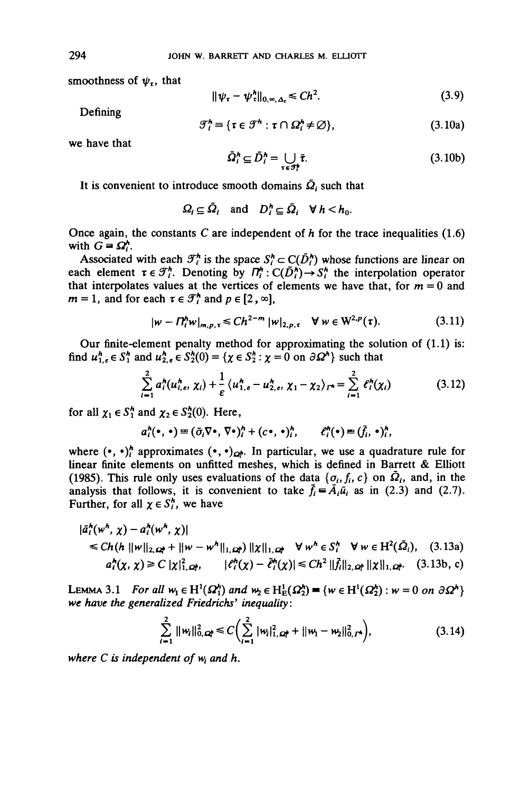smoothness of  $\psi_{\tau}$ , that

$$
\|\psi_{\tau} - \psi_{\tau}^{h}\|_{0,\infty,\Delta_{\tau}} \leq C h^{2}.
$$
 (3.9)

Defining

$$
\mathcal{F}_i^h \equiv \{ \tau \in \mathcal{F}^h : \tau \cap \Omega_i^h \neq \varnothing \},\tag{3.10a}
$$

we have that

$$
\bar{\Omega}_i^h \subseteq \bar{D}_i^h = \bigcup_{\tau \in \mathcal{F}_i^h} \bar{\tau}.\tag{3.10b}
$$

It is convenient to introduce smooth domains  $\tilde{Q}_i$  such that

$$
\Omega_i \subseteq \tilde{\Omega}_i \quad \text{and} \quad D_i^h \subseteq \tilde{\Omega}_i \quad \forall \ h < h_0.
$$

Once again, the constants C are independent of  $h$  for the trace inequalities (1.6) with  $G = \Omega^h$ .

Associated with each  $\mathcal{T}_i^h$  is the space  $S_i^h \subset C(\bar{D}_i^h)$  whose functions are linear on each element  $\tau \in \mathcal{F}_i^h$ . Denoting by  $\Pi_i^h: C(\bar{D}_i^h) \to S_i^h$  the interpolation operator that interpolates values at the vertices of elements we have that, for  $m = 0$  and  $m = 1$ , and for each  $\tau \in \mathcal{F}_i^h$  and  $p \in [2, \infty]$ ,

$$
|w - \Pi_{i}^{h} w|_{m, p, \tau} \le C h^{2-m} |w|_{2, p, \tau} \quad \forall \ w \in W^{2, p}(\tau). \tag{3.11}
$$

Our finite-element penalty method for approximating the solution of (1.1) is: find  $u_{1,\epsilon}^h \in S_1^h$  and  $u_{2,\epsilon}^h \in S_2^h(0) = \{ \chi \in S_2^h : \chi = 0 \text{ on } \partial \Omega^h \}$  such that

$$
\sum_{i=1}^{2} a_{i}^{h}(u_{i,\varepsilon}^{h}, \chi_{i}) + \frac{1}{\varepsilon} \langle u_{1,\varepsilon}^{h} - u_{2,\varepsilon}^{h}, \chi_{1} - \chi_{2} \rangle_{\Gamma^{h}} = \sum_{i=1}^{2} \ell_{i}^{h}(\chi_{i})
$$
(3.12)

for all  $\chi_1 \in S_1^h$  and  $\chi_2 \in S_2^h(0)$ . Here,

$$
a_i^h(\bullet,\bullet)\equiv(\tilde{\sigma}_i\nabla\bullet,\nabla\bullet)_i^h+(c\bullet,\bullet)_i^h,\qquad \ell_i^h(\bullet)\equiv(\tilde{f}_i,\bullet)_i^h,
$$

where  $(\cdot, \cdot)^h$  approximates  $(\cdot, \cdot)_{\Omega^h}$ . In particular, we use a quadrature rule for linear finite elements on unfitted meshes, which is defined in Barrett  $\&$  Elliott (1985). This rule only uses evaluations of the data  $\{\sigma_i, f_i, c\}$  on  $\overline{\Omega}_i$ , and, in the analysis that follows, it is convenient to take  $\tilde{f}_i = \tilde{A}_i \tilde{u}_i$  as in (2.3) and (2.7). Further, for all  $\chi \in S_i^h$ , we have

$$
|\tilde{a}_l^h(w^h, \chi) - a_l^h(w^h, \chi)|
$$
  
\n
$$
\leq Ch(h ||w||_{2, \Omega^h} + ||w - w^h||_{1, \Omega^h}) ||\chi||_{1, \Omega^h} \quad \forall w^h \in S_l^h \quad \forall w \in H^2(\tilde{\Omega}_l), \quad (3.13a)
$$
  
\n
$$
a_l^h(\chi, \chi) \geq C |\chi|_{1, \Omega^h}^2, \qquad |c_l^h(\chi) - \tilde{c}_l^h(\chi)| \leq Ch^2 ||\tilde{f}_l||_{2, \Omega^h} ||\chi||_{1, \Omega^h}. \quad (3.13b, c)
$$

LEMMA 3.1 *For all*  $w_1 \in H^1(\Omega_1^h)$  and  $w_2 \in H^1_E(\Omega_2^h) = \{w \in H^1(\Omega_2^h) : w = 0$  on *we have the generalized Friedrichs' inequality:*

$$
\sum_{i=1}^{2} ||w_i||_{0,\Omega_i}^2 \leq C \Big( \sum_{i=1}^{2} |w_i|_{1,\Omega_i}^2 + ||w_1 - w_2||_{0,\Gamma^*}^2 \Big), \qquad (3.14)
$$

*where C is independent of w<sub>i</sub> and h.*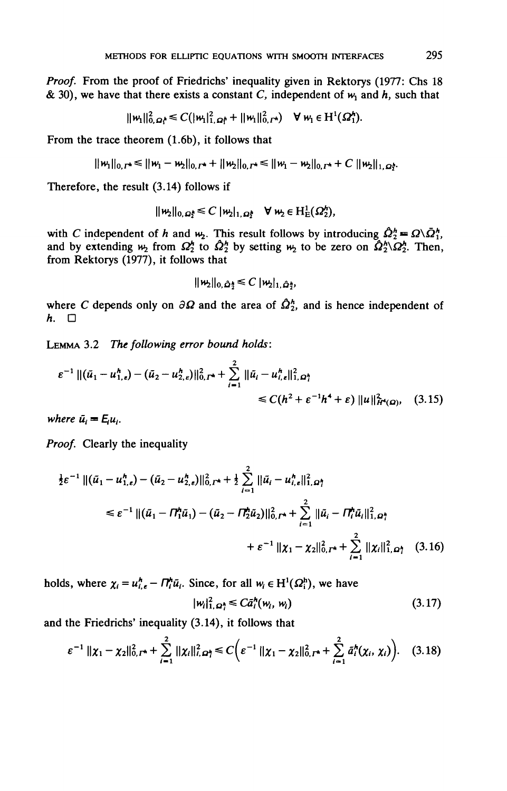*Proof.* From the proof of Friedrichs' inequality given in Rektorys (1977: Chs 18 & 30), we have that there exists a constant C, independent of  $w_1$  and  $h$ , such that

$$
||w_1||_{0,\Omega_1^{\mathsf{A}}}^2 \leq C(|w_1|_{1,\Omega_1^{\mathsf{A}}}^2 + ||w_1||_{0,\Gamma^{\mathsf{A}}}^2) \quad \forall w_1 \in \mathrm{H}^1(\Omega_1^{\mathsf{A}}).
$$

From the trace theorem (1.6b), it follows that

$$
||w_1||_{0,\Gamma^*} \le ||w_1 - w_2||_{0,\Gamma^*} + ||w_2||_{0,\Gamma^*} \le ||w_1 - w_2||_{0,\Gamma^*} + C ||w_2||_{1,\Omega^k}
$$

Therefore, the result (3.14) follows if

$$
\|\mathbf{w}_2\|_{0,\Omega_2^k}\leq C\|\mathbf{w}_2\|_{1,\Omega_2^k}\quad\forall\,\mathbf{w}_2\in\mathrm{H}_{\mathrm{E}}^1(\Omega_2^k),
$$

with C independent of h and  $w_2$ . This result follows by introducing  $\hat{Q}_2^h = Q\backslash \bar{Q}_1^h$ , and by extending  $w_2$  from  $\Omega_2^k$  to  $\hat{\Omega}_2^k$  by setting  $w_2$  to be zero on  $\hat{\Omega}_2^k \setminus \Omega_2^k$ . Then, from Rektorys (1977), it follows that

$$
\|\mathbf{w}_2\|_{0,\hat{\Omega}_2^k}\leq C\|\mathbf{w}_2\|_{1,\hat{\Omega}_2^k},
$$

where *C* depends only on  $\partial \Omega$  and the area of  $\hat{\Omega}_2^h$ , and is hence independent of *h.* □

LEMMA 3.2 *The following error bound holds:*

$$
\varepsilon^{-1} \left\| (\tilde{u}_1 - u_{1,\varepsilon}^h) - (\tilde{u}_2 - u_{2,\varepsilon}^h) \right\|_{0,\Gamma^h}^2 + \sum_{i=1}^2 \|\tilde{u}_i - u_{i,\varepsilon}^h\|_{1,\Omega_i^h}^2
$$
  
\$\leq C(h^2 + \varepsilon^{-1}h^4 + \varepsilon) \|u\|\_{H^4(\Omega)}^2\$, (3.15)

where  $\bar{u}_i = E_i u_i$ .

Proof. Clearly the inequality

$$
\frac{1}{2}\varepsilon^{-1} \left\| (\tilde{u}_1 - u_{1,\varepsilon}^h) - (\tilde{u}_2 - u_{2,\varepsilon}^h) \right\|_{0,\Gamma^h}^2 + \frac{1}{2} \sum_{i=1}^2 \|\tilde{u}_i - u_{i,\varepsilon}^h\|_{1,\Omega^h}^2
$$
\n
$$
\leq \varepsilon^{-1} \left\| (\tilde{u}_1 - \Pi_1^h \tilde{u}_1) - (\tilde{u}_2 - \Pi_2^h \tilde{u}_2) \right\|_{0,\Gamma^h}^2 + \sum_{i=1}^2 \|\tilde{u}_i - \Pi_i^h \tilde{u}_i\|_{1,\Omega^h}^2
$$
\n
$$
+ \varepsilon^{-1} \left\| \chi_1 - \chi_2 \right\|_{0,\Gamma^h}^2 + \sum_{i=1}^2 \|\chi_i\|_{1,\Omega^h}^2 \quad (3.16)
$$

holds, where  $\chi_i = u_{i,\epsilon}^h - \Pi_i^h \tilde{u}_i$ . Since, for all  $w_i \in H^1(\Omega_i^h)$ , we have

$$
|w_i|^2_{1,\Omega_i^h} \leq C\tilde{a}_i^h(w_i, w_i) \tag{3.17}
$$

and the Friedrichs' inequality (3.14), it follows that

$$
\varepsilon^{-1} \|\chi_1 - \chi_2\|_{0,\Gamma^*}^2 + \sum_{i=1}^2 \|\chi_i\|_{i,\Omega_i^*}^2 \leq C \Big( \varepsilon^{-1} \|\chi_1 - \chi_2\|_{0,\Gamma^*}^2 + \sum_{i=1}^2 \tilde{a}_i^h(\chi_i, \chi_i) \Big). \quad (3.18)
$$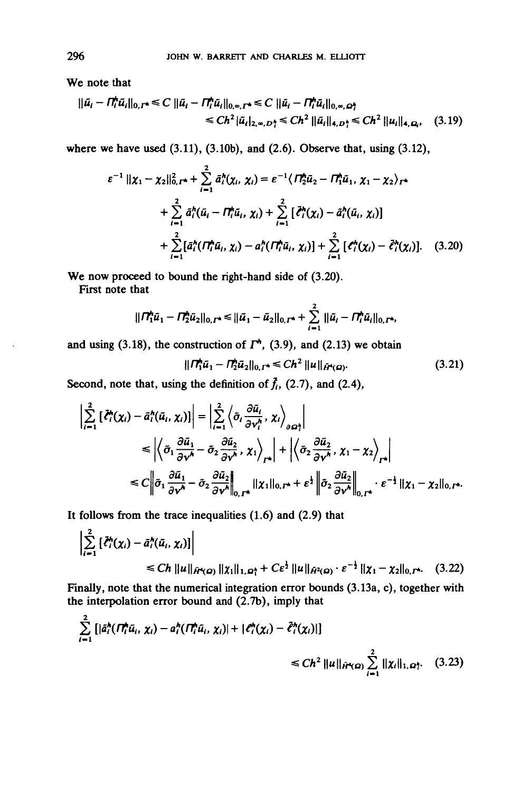We note that

$$
\|\tilde{u}_i - \Pi_i^h \tilde{u}_i\|_{0,\Gamma^*} \leq C \|\tilde{u}_i - \Pi_i^h \tilde{u}_i\|_{0,\infty,\Gamma^*} \leq C \|\tilde{u}_i - \Pi_i^h \tilde{u}_i\|_{0,\infty,\Omega_1^*}
$$
  

$$
\leq C h^2 \|\tilde{u}_i\|_{2,\infty,\Omega_1^*} \leq C h^2 \|\tilde{u}_i\|_{4,\Omega_1^*} \leq C h^2 \|\tilde{u}_i\|_{4,\Omega_2}, \quad (3.19)
$$

where we have used  $(3.11)$ ,  $(3.10b)$ , and  $(2.6)$ . Observe that, using  $(3.12)$ ,

$$
\varepsilon^{-1} || \chi_1 - \chi_2 ||_{0,\Gamma^*}^2 + \sum_{i=1}^2 \tilde{a}_i^h(\chi_i, \chi_i) = \varepsilon^{-1} \langle \Pi_2^h \tilde{u}_2 - \Pi_1^h \tilde{u}_1, \chi_1 - \chi_2 \rangle_{\Gamma^*} + \sum_{i=1}^2 \tilde{a}_i^h(\tilde{u}_i - \Pi_i^h \tilde{u}_i, \chi_i) + \sum_{i=1}^2 \left[ \tilde{\ell}_i^h(\chi_i) - \tilde{a}_i^h(\tilde{u}_i, \chi_i) \right] + \sum_{i=1}^2 \left[ \tilde{a}_i^h(\Pi_i^h \tilde{u}_i, \chi_i) - a_i^h(\Pi_i^h \tilde{u}_i, \chi_i) \right] + \sum_{i=1}^2 \left[ \ell_i^h(\chi_i) - \tilde{\ell}_i^h(\chi_i) \right]. \tag{3.20}
$$

We now proceed to bound the right-hand side of  $(3.20)$ .

First note that

$$
\|\Pi_1^{\mathbf{h}}\tilde{u}_1 - \Pi_2^{\mathbf{h}}\tilde{u}_2\|_{0,\Gamma^{\mathbf{h}}} \le \|\tilde{u}_1 - \tilde{u}_2\|_{0,\Gamma^{\mathbf{h}}} + \sum_{i=1}^2 \|\tilde{u}_i - \Pi_i^{\mathbf{h}}\tilde{u}_i\|_{0,\Gamma^{\mathbf{h}}}
$$

and using (3.18), the construction of  $\Gamma^*$ , (3.9), and (2.13) we obtain

$$
\|\Pi_1^{\star}\tilde{u}_1 - \Pi_2^{\star}\tilde{u}_2\|_{0,\Gamma^*} \leq C h^2 \|u\|_{\tilde{H}^{\star}(\Omega)}.
$$
 (3.21)

Second, note that, using the definition of  $\bar{f}_i$ , (2.7), and (2.4),

$$
\left| \sum_{i=1}^{2} \left[ \tilde{\ell}_{i}^{*}(x_{i}) - \tilde{a}_{i}^{*}(\tilde{u}_{i}, x_{i}) \right] \right| = \left| \sum_{i=1}^{2} \left\langle \tilde{\sigma}_{i} \frac{\partial \tilde{u}_{i}}{\partial v_{i}^{*}}, x_{i} \right\rangle_{\partial \Omega_{i}^{+}} \right|
$$
\n
$$
\leq \left| \left\langle \tilde{\sigma}_{1} \frac{\partial \tilde{u}_{1}}{\partial v^{*}} - \tilde{\sigma}_{2} \frac{\partial \tilde{u}_{2}}{\partial v^{*}}, x_{1} \right\rangle_{\Gamma^{*}} \right| + \left| \left\langle \tilde{\sigma}_{2} \frac{\partial \tilde{u}_{2}}{\partial v^{*}}, x_{1} - x_{2} \right\rangle_{\Gamma^{*}} \right|
$$
\n
$$
\leq C \left\| \tilde{\sigma}_{1} \frac{\partial \tilde{u}_{1}}{\partial v^{*}} - \tilde{\sigma}_{2} \frac{\partial \tilde{u}_{2}}{\partial v^{*}} \right\|_{0, \Gamma^{*}} \|x_{1}\|_{0, \Gamma^{*}} + \varepsilon^{1} \left\| \tilde{\sigma}_{2} \frac{\partial \tilde{u}_{2}}{\partial v^{*}} \right\|_{0, \Gamma^{*}} \cdot \varepsilon^{-1} \|x_{1} - x_{2}\|_{0, \Gamma^{*}}.
$$

It follows from the trace inequalities  $(1.6)$  and  $(2.9)$  that

$$
\left| \sum_{i=1}^{2} \left[ \tilde{\ell}_{i}^{h}(x_{i}) - \tilde{a}_{i}^{h}(\tilde{u}_{i}, x_{i}) \right] \right|
$$
  
\n
$$
\leq C h \, ||u||_{\tilde{H}^{4}(\Omega)} ||x_{1}||_{1, \Omega_{1}^{h}} + C \varepsilon^{\frac{1}{2}} ||u||_{\tilde{H}^{2}(\Omega)} \cdot \varepsilon^{-\frac{1}{2}} ||x_{1} - x_{2}||_{0, \Gamma^{h}}. \quad (3.22)
$$

Finally, note that the numerical integration error bounds (3.13a, c), together with the interpolation error bound and (2.7b), imply that

$$
\sum_{i=1}^{2} \left[ |\tilde{a}_{i}^{h}(H_{i}^{h}\tilde{u}_{i}, \chi_{i}) - a_{i}^{h}(H_{i}^{h}\tilde{u}_{i}, \chi_{i})| + |\ell_{i}^{h}(\chi_{i}) - \tilde{\ell}_{i}^{h}(\chi_{i})| \right] \leq Ch^{2} ||u||_{\tilde{H}^{4}(\Omega)} \sum_{i=1}^{2} ||\chi_{i}||_{1, \Omega_{i}^{h}} (3.23)
$$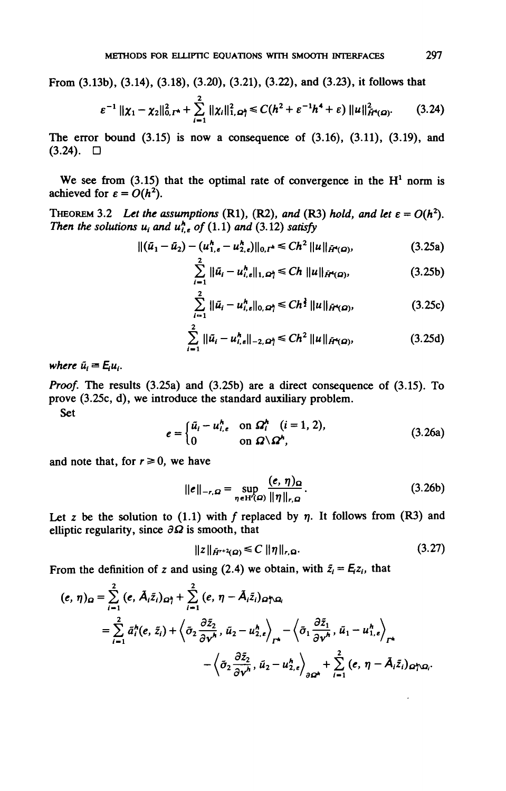From (3.13b), (3.14), (3.18), (3.20), (3.21), (3.22), and (3.23), it follows that

$$
\varepsilon^{-1} \|\chi_1 - \chi_2\|_{0,\Gamma^*}^2 + \sum_{i=1}^2 \|\chi_i\|_{1,\Omega_i^*}^2 \leq C(h^2 + \varepsilon^{-1}h^4 + \varepsilon) \|u\|_{H^4(\Omega)}^2.
$$
 (3.24)

The error bound  $(3.15)$  is now a consequence of  $(3.16)$ ,  $(3.11)$ ,  $(3.19)$ , and  $(3.24)$ .  $\Box$ 

We see from  $(3.15)$  that the optimal rate of convergence in the  $H<sup>1</sup>$  norm is achieved for  $\varepsilon = O(h^2)$ .

THEOREM 3.2 Let the assumptions (R1), (R2), and (R3) hold, and let  $\varepsilon = O(h^2)$ . *Then the solutions*  $u_i$  *and*  $u_{i,e}^h$  *of* (1.1) *and* (3.12) *satisfy* 

$$
\|(\tilde{u}_1 - \tilde{u}_2) - (u_{1,\epsilon}^h - u_{2,\epsilon}^h)\|_{0,I^*} \leq C h^2 \|u\|_{\tilde{H}^4(\Omega)},
$$
\n(3.25a)

$$
\sum_{i=1}^{\infty} \|\tilde{u}_i - u_{i,\epsilon}^h\|_{1,\Omega_1^h} \le Ch \, \|u\|_{\tilde{H}^4(\Omega)},
$$
\n(3.25b)

$$
\sum_{i=1}^{2} \|\tilde{u}_i - u_{i,\epsilon}^h\|_{0,\,\Omega_i^h} \le Ch^{\frac{3}{2}} \|u\|_{\tilde{H}^h(\Omega)},\tag{3.25c}
$$

$$
\sum_{i=1}^{2} \|\tilde{u}_{i} - u_{i,s}^{h}\|_{-2,\Omega_{i}^{h}} \leq C h^{2} \|u\|_{\tilde{H}^{4}(\Omega)},
$$
\n(3.25d)

*where*  $\tilde{u}_i = E_i u_i$ .

*Proof.* The results (3.25a) and (3.25b) are a direct consequence of (3.15). To prove (3.25c, d), we introduce the standard auxiliary problem. Set

$$
e = \begin{cases} \tilde{u}_i - u_{i,\epsilon}^h & \text{on } \Omega_i^h \quad (i = 1, 2), \\ 0 & \text{on } \Omega \setminus \Omega^h, \end{cases}
$$
 (3.26a)

and note that, for  $r \ge 0$ , we have

$$
\|\boldsymbol{e}\|_{-r,\Omega} = \sup_{\eta \in \mathcal{H}(\Omega)} \frac{(\boldsymbol{e}, \eta)_{\Omega}}{\|\eta\|_{r,\Omega}}.
$$
 (3.26b)

Let z be the solution to  $(1.1)$  with f replaced by  $\eta$ . It follows from  $(R3)$  and elliptic regularity, since  $\partial\Omega$  is smooth, that

$$
||z||_{\tilde{H}^{r+2}(\Omega)} \leq C ||\eta||_{r,\Omega}.
$$
\n(3.27)

From the definition of z and using (2.4) we obtain, with  $\bar{z}_i = E_i z_i$ , that

$$
(e, \eta)_{\Omega} = \sum_{i=1}^{2} (e, \tilde{A}_{i}\tilde{z}_{i})_{\Omega_{1}^{k}} + \sum_{i=1}^{2} (e, \eta - \tilde{A}_{i}\tilde{z}_{i})_{\Omega_{1}^{k}\Omega_{i}}
$$
  

$$
= \sum_{i=1}^{2} \tilde{a}_{i}^{k}(e, \tilde{z}_{i}) + \left\langle \tilde{\sigma}_{2} \frac{\partial \tilde{z}_{2}}{\partial v^{k}}, \tilde{u}_{2} - u_{2,e}^{k}\right\rangle_{\Gamma_{1}^{k}} - \left\langle \tilde{\sigma}_{1} \frac{\partial \tilde{z}_{1}}{\partial v^{k}}, \tilde{u}_{1} - u_{1,e}^{k}\right\rangle_{\Gamma_{1}^{k}}
$$
  

$$
- \left\langle \tilde{\sigma}_{2} \frac{\partial \tilde{z}_{2}}{\partial v^{k}}, \tilde{u}_{2} - u_{2,e}^{k}\right\rangle_{\partial \Omega_{1}^{k}} + \sum_{i=1}^{2} (e, \eta - \tilde{A}_{i}\tilde{z}_{i})_{\Omega_{1}^{k}\Omega_{i}}.
$$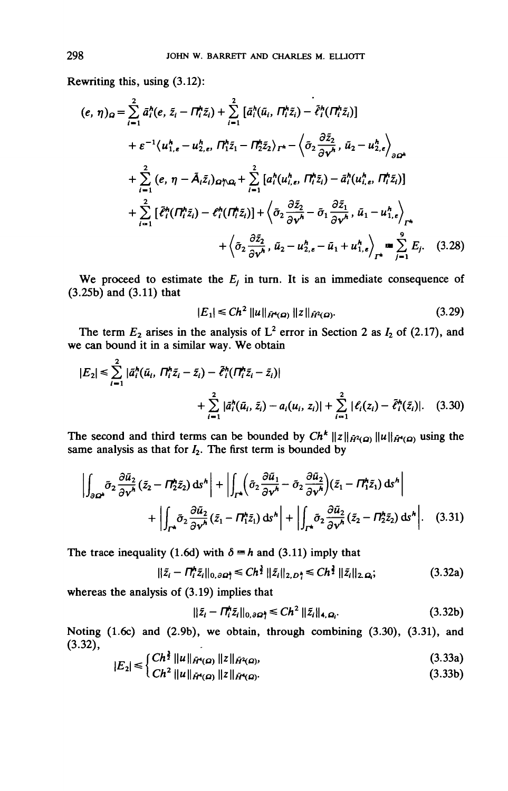Rewriting this, using (3.12):

$$
(e, \eta)_{\Omega} = \sum_{i=1}^{2} \bar{a}_{i}^{h} (e, \bar{z}_{i} - \Pi_{i}^{h} \tilde{z}_{i}) + \sum_{i=1}^{2} \left[ \bar{a}_{i}^{h} (\tilde{u}_{i}, \Pi_{i}^{h} \tilde{z}_{i}) - \tilde{\ell}_{i}^{h} (\Pi_{i}^{h} \tilde{z}_{i}) \right] + \varepsilon^{-1} \langle u_{1,\varepsilon}^{h} - u_{2,\varepsilon}^{h}, \Pi_{1}^{h} \tilde{z}_{1} - \Pi_{2}^{h} \tilde{z}_{2} \rangle_{\Gamma^{h}} - \langle \tilde{\sigma}_{2} \frac{\partial \tilde{z}_{2}}{\partial \gamma^{h}}, \tilde{u}_{2} - u_{2,\varepsilon}^{h} \rangle_{\partial \Omega^{h}} + \sum_{i=1}^{2} (e, \eta - \tilde{A}_{i} \tilde{z}_{i})_{\Omega^{h} \Omega_{i}} + \sum_{i=1}^{2} \left[ a_{i}^{h} (u_{i,\varepsilon}^{h}, \Pi_{i}^{h} \tilde{z}_{i}) - \tilde{a}_{i}^{h} (u_{i,\varepsilon}^{h}, \Pi_{i}^{h} \tilde{z}_{i}) \right] + \sum_{i=1}^{2} \left[ \tilde{\ell}_{i}^{h} (\Pi_{i}^{h} \tilde{z}_{i}) - \ell_{i}^{h} (\Pi_{i}^{h} \tilde{z}_{i}) \right] + \langle \tilde{\sigma}_{2} \frac{\partial \tilde{z}_{2}}{\partial \gamma^{h}} - \tilde{\sigma}_{1} \frac{\partial \tilde{z}_{1}}{\partial \gamma^{h}}, \tilde{u}_{1} - u_{1,\varepsilon}^{h} \rangle_{\Gamma^{h}} + \langle \tilde{\sigma}_{2} \frac{\partial \tilde{z}_{2}}{\partial \gamma^{h}}, \tilde{u}_{2} - u_{2,\varepsilon}^{h} - \tilde{u}_{1} + u_{1,\varepsilon}^{h} \rangle_{\Gamma^{h}} \equiv \sum_{j=1}^{9} E_{j}. \quad (3.28)
$$

We proceed to estimate the  $E<sub>j</sub>$  in turn. It is an immediate consequence of (3.25b) and (3.11) that

$$
|E_1| \leq C h^2 \|u\|_{\tilde{H}^4(\Omega)} \|z\|_{\tilde{H}^2(\Omega)}.
$$
 (3.29)

The term  $E_2$  arises in the analysis of  $L^2$  error in Section 2 as  $I_2$  of (2.17), and we can bound it in a similar way. We obtain

$$
|E_2| \leq \sum_{i=1}^2 |\bar{a}_i^h(\bar{u}_i, \Pi_i^h \bar{z}_i - \bar{z}_i) - \tilde{\ell}_i^h(\Pi_i^h \bar{z}_i - \bar{z}_i)|
$$
  
+ 
$$
\sum_{i=1}^2 |\bar{a}_i^h(\bar{u}_i, \bar{z}_i) - a_i(u_i, z_i)| + \sum_{i=1}^2 |\ell_i(z_i) - \tilde{\ell}_i^h(\bar{z}_i)|. \quad (3.30)
$$

The second and third terms can be bounded by  $Ch^k \|z\|_{\tilde{H}^2(\Omega)} \|u\|_{\tilde{H}^4(\Omega)}$  using the same analysis as that for  $I_2$ . The first term is bounded by

$$
\left| \int_{\partial \Omega^h} \tilde{\sigma}_2 \frac{\partial \tilde{u}_2}{\partial v^h} (\tilde{z}_2 - \Pi_2^h \tilde{z}_2) \, \mathrm{d} s^h \right| + \left| \int_{\Gamma^h} \left( \tilde{\sigma}_2 \frac{\partial \tilde{u}_1}{\partial v^h} - \tilde{\sigma}_2 \frac{\partial \tilde{u}_2}{\partial v^h} \right) (\tilde{z}_1 - \Pi_1^h \tilde{z}_1) \, \mathrm{d} s^h \right| + \left| \int_{\Gamma^h} \tilde{\sigma}_2 \frac{\partial \tilde{u}_2}{\partial v^h} (\tilde{z}_1 - \Pi_1^h \tilde{z}_1) \, \mathrm{d} s^h \right| + \left| \int_{\Gamma^h} \tilde{\sigma}_2 \frac{\partial \tilde{u}_2}{\partial v^h} (\tilde{z}_2 - \Pi_2^h \tilde{z}_2) \, \mathrm{d} s^h \right|.
$$
 (3.31)

The trace inequality (1.6d) with  $\delta = h$  and (3.11) imply that

$$
\|\tilde{z}_i - \Pi_i^h \tilde{z}_i\|_{0,\partial \Omega_i^h} \le C h^{\frac{3}{2}} \|\tilde{z}_i\|_{2,D_i^h} \le C h^{\frac{3}{2}} \|\tilde{z}_i\|_{2,\Omega_i};
$$
\n(3.32a)

whereas the analysis of  $(3.19)$  implies that

$$
\|\tilde{z}_i - \Pi_i^* \tilde{z}_i\|_{0,\partial \Omega_i^*} \le C h^2 \|\tilde{z}_i\|_{4,\Omega_i}.\tag{3.32b}
$$

Noting (1.6c) and (2.9b), we obtain, through combining (3.30), (3.31), and  $(3.32),$  $\sim$   $\sim$   $\sim$   $\sim$   $\sim$   $\sim$   $\sim$ 

$$
|E_2| \leq \begin{cases} Ch^{\frac{1}{2}} \|u\|_{\tilde{H}^4(\Omega)} \|z\|_{\tilde{H}^2(\Omega)}, \\ Ch^{\frac{1}{2}} \|u\|_{\tilde{H}^2(\Omega)} \|z\|_{\tilde{H}^2(\Omega)} \end{cases}
$$
(3.33a)

$$
C h^2 \|u\|_{\tilde{H}^s(\Omega)} \|z\|_{\tilde{H}^s(\Omega)}.
$$
 (3.33b)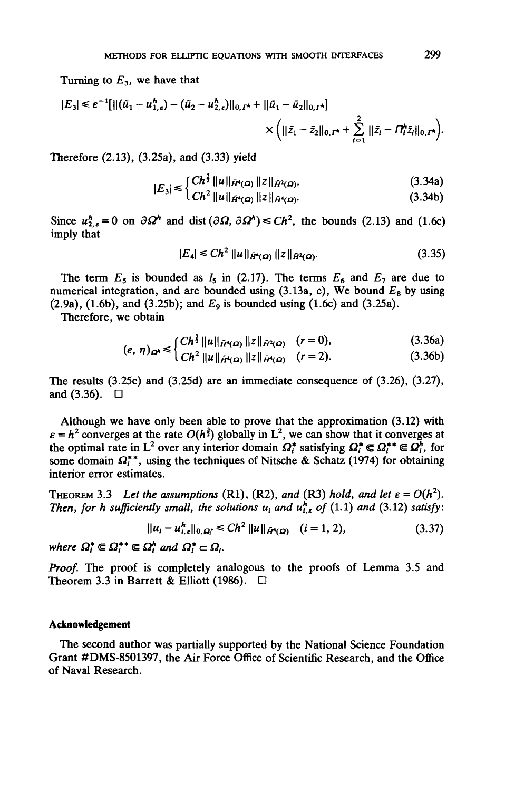Turning to *E3,* we have that

$$
|E_3| \leq \varepsilon^{-1} [\|(\tilde{u}_1 - u_{1,\varepsilon}^h) - (\tilde{u}_2 - u_{2,\varepsilon}^h)\|_{0, \Gamma^*} + \|\tilde{u}_1 - \tilde{u}_2\|_{0, \Gamma^*}] \times \Big( \|\tilde{z}_1 - \tilde{z}_2\|_{0, \Gamma^*} + \sum_{i=1}^2 \|\tilde{z}_i - \Pi_i^h \tilde{z}_i\|_{0, \Gamma^*} \Big).
$$

Therefore (2.13), (3.25a), and (3.33) yield

$$
|E_3| \leq \begin{cases} Ch^{\frac{1}{2}} \|\mu\|_{\tilde{H}^4(\Omega)} & \|z\|_{\tilde{H}^4(\Omega)}, \\ C^{12} \|\mu\|_{\tilde{H}^4(\Omega)} & \|z\|_{\tilde{H}^4(\Omega)} \end{cases}
$$
(3.34a)

$$
C_3 = C_1^2 ||u||_{\tilde{H}^4(\Omega)} ||z||_{\tilde{H}^4(\Omega)}.
$$
 (3.34b)

Since  $u_{2,\epsilon}^h = 0$  on  $\partial \Omega^h$  and dist  $(\partial \Omega, \partial \Omega^h) \le Ch^2$ , the bounds (2.13) and (1.6c) imply that

$$
|E_4| \le Ch^2 \|u\|_{\tilde{H}^4(\Omega)} \|z\|_{\tilde{H}^2(\Omega)}.
$$
 (3.35)

The term  $E_5$  is bounded as  $I_5$  in (2.17). The terms  $E_6$  and  $E_7$  are due to numerical integration, and are bounded using (3.13a, c), We bound *Ea* by using (2.9a), (1.6b), and (3.25b); and *Eg* is bounded using (1.6c) and (3.25a).

Therefore, we obtain

$$
\int Ch^{\frac{3}{2}} \|u\|_{\tilde{H}^{4}(\Omega)} \|z\|_{\tilde{H}^{2}(\Omega)} \quad (r=0), \tag{3.36a}
$$

$$
(e, \eta)\Omega^{(1)} = \left( \frac{C}{h^2} \| u \|_{\tilde{H}^4(\Omega)} \| z \|_{\tilde{H}^4(\Omega)} \right) \quad (r = 2). \tag{3.36b}
$$

The results (3.25c) and (3.25d) are an immediate consequence of (3.26), (3.27), and  $(3.36)$ .  $\Box$ 

Although we have only been able to prove that the approximation (3.12) with  $\varepsilon = h^2$  converges at the rate  $O(h^3)$  globally in L<sup>2</sup>, we can show that it converges at the optimal rate in L<sup>2</sup> over any interior domain  $\Omega_t^*$  satisfying  $\Omega_t^* \in \Omega_t^{**} \in \Omega_t^*$ , for some domain  $\Omega_i^{**}$ , using the techniques of Nitsche & Schatz (1974) for obtaining interior error estimates.

THEOREM 3.3 Let the assumptions (R1), (R2), and (R3) hold, and let  $\varepsilon = O(h^2)$ . *Then, for h sufficiently small, the solutions*  $u_i$  *and*  $u_{i,\epsilon}^h$  *of (1.1) and (3.12) satisfy:* 

$$
||u_i - u_{i,\epsilon}^h||_{0,\Omega_i^*} \le Ch^2 ||u||_{\tilde{H}^4(\Omega)} \quad (i = 1, 2), \tag{3.37}
$$

*where*  $\Omega_i^* \in \Omega_i^{**} \in \Omega_i^*$  and  $\Omega_i^* \subset \Omega_i$ .

*Proof.* The proof is completely analogous to the proofs of Lemma 3.5 and Theorem 3.3 in Barrett & Elliott (1986).  $\Box$ 

#### **Acknowledgement**

The second author was partially supported by the National Science Foundation Grant #DMS-8501397, the Air Force Office of Scientific Research, and the Office of Naval Research.